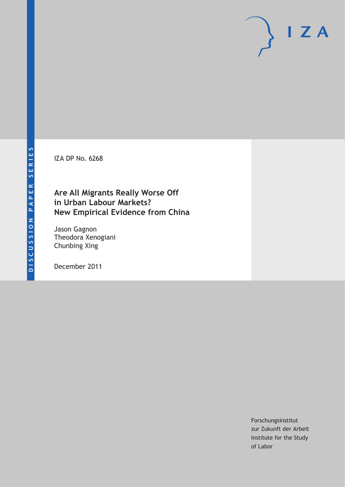IZA DP No. 6268

# **Are All Migrants Really Worse Off in Urban Labour Markets? New Empirical Evidence from China**

Jason Gagnon Theodora Xenogiani Chunbing Xing

December 2011

Forschungsinstitut zur Zukunft der Arbeit Institute for the Study of Labor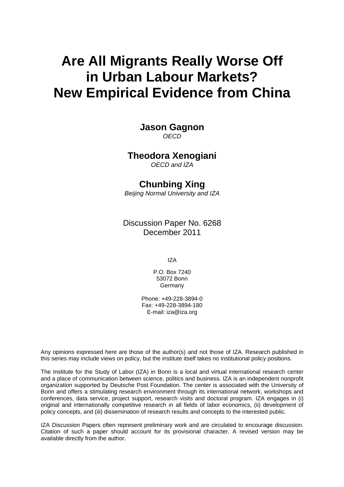# **Are All Migrants Really Worse Off in Urban Labour Markets? New Empirical Evidence from China**

**Jason Gagnon**  *OECD* 

### **Theodora Xenogiani**

*OECD and IZA* 

# **Chunbing Xing**

*Beijing Normal University and IZA* 

Discussion Paper No. 6268 December 2011

IZA

P.O. Box 7240 53072 Bonn Germany

Phone: +49-228-3894-0 Fax: +49-228-3894-180 E-mail: [iza@iza.org](mailto:iza@iza.org)

Any opinions expressed here are those of the author(s) and not those of IZA. Research published in this series may include views on policy, but the institute itself takes no institutional policy positions.

The Institute for the Study of Labor (IZA) in Bonn is a local and virtual international research center and a place of communication between science, politics and business. IZA is an independent nonprofit organization supported by Deutsche Post Foundation. The center is associated with the University of Bonn and offers a stimulating research environment through its international network, workshops and conferences, data service, project support, research visits and doctoral program. IZA engages in (i) original and internationally competitive research in all fields of labor economics, (ii) development of policy concepts, and (iii) dissemination of research results and concepts to the interested public.

IZA Discussion Papers often represent preliminary work and are circulated to encourage discussion. Citation of such a paper should account for its provisional character. A revised version may be available directly from the author.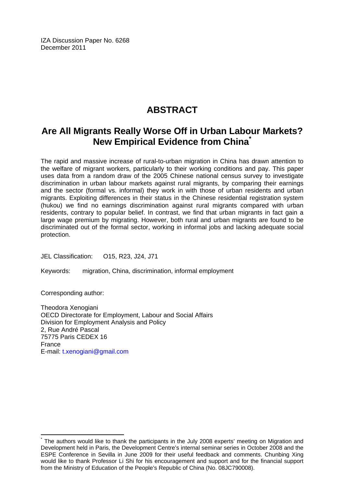IZA Discussion Paper No. 6268 December 2011

# **ABSTRACT**

# **Are All Migrants Really Worse Off in Urban Labour Markets? New Empirical Evidence from China[\\*](#page-2-0)**

The rapid and massive increase of rural-to-urban migration in China has drawn attention to the welfare of migrant workers, particularly to their working conditions and pay. This paper uses data from a random draw of the 2005 Chinese national census survey to investigate discrimination in urban labour markets against rural migrants, by comparing their earnings and the sector (formal vs. informal) they work in with those of urban residents and urban migrants. Exploiting differences in their status in the Chinese residential registration system (hukou) we find no earnings discrimination against rural migrants compared with urban residents, contrary to popular belief. In contrast, we find that urban migrants in fact gain a large wage premium by migrating. However, both rural and urban migrants are found to be discriminated out of the formal sector, working in informal jobs and lacking adequate social protection.

JEL Classification: O15, R23, J24, J71

Keywords: migration, China, discrimination, informal employment

Corresponding author:

 $\overline{a}$ 

Theodora Xenogiani OECD Directorate for Employment, Labour and Social Affairs Division for Employment Analysis and Policy 2, Rue André Pascal 75775 Paris CEDEX 16 France E-mail: [t.xenogiani@gmail.com](mailto:t.xenogiani@gmail.com)

<span id="page-2-0"></span><sup>\*</sup> The authors would like to thank the participants in the July 2008 experts' meeting on Migration and Development held in Paris, the Development Centre's internal seminar series in October 2008 and the ESPE Conference in Sevilla in June 2009 for their useful feedback and comments. Chunbing Xing would like to thank Professor Li Shi for his encouragement and support and for the financial support from the Ministry of Education of the People's Republic of China (No. 08JC790008).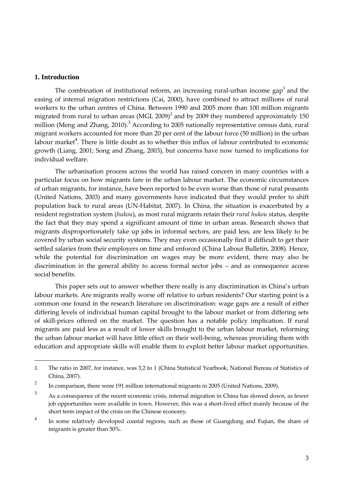#### **1. Introduction**

-

The combination of institutional reform, an increasing rural-urban income gap<sup>1</sup> and the easing of internal migration restrictions (Cai, 2000), have combined to attract millions of rural workers to the urban centres of China. Between 1990 and 2005 more than 100 million migrants migrated from rural to urban areas (MGI, 2009) $^2$  and by 2009 they numbered approximately 150 million (Meng and Zhang, 2010).<sup>3</sup> According to 2005 nationally representative census data, rural migrant workers accounted for more than 20 per cent of the labour force (50 million) in the urban labour market<sup>4</sup>. There is little doubt as to whether this influx of labour contributed to economic growth (Liang, 2001; Song and Zhang, 2003), but concerns have now turned to implications for individual welfare.

The urbanisation process across the world has raised concern in many countries with a particular focus on how migrants fare in the urban labour market. The economic circumstances of urban migrants, for instance, have been reported to be even worse than those of rural peasants (United Nations, 2003) and many governments have indicated that they would prefer to shift population back to rural areas (UN-Habitat, 2007). In China, the situation is exacerbated by a resident registration system (*hukou*), as most rural migrants retain their *rural hukou* status, despite the fact that they may spend a significant amount of time in urban areas. Research shows that migrants disproportionately take up jobs in informal sectors, are paid less, are less likely to be covered by urban social security systems. They may even occasionally find it difficult to get their settled salaries from their employers on time and enforced (China Labour Bulletin, 2008). Hence, while the potential for discrimination on wages may be more evident, there may also be discrimination in the general ability to access formal sector jobs – and as consequence access social benefits.

This paper sets out to answer whether there really is any discrimination in China's urban labour markets. Are migrants really worse off relative to urban residents? Our starting point is a common one found in the research literature on discrimination: wage gaps are a result of either differing levels of individual human capital brought to the labour market or from differing sets of skill-prices offered on the market. The question has a notable policy implication. If rural migrants are paid less as a result of lower skills brought to the urban labour market, reforming the urban labour market will have little effect on their well-being, whereas providing them with education and appropriate skills will enable them to exploit better labour market opportunities.

<sup>1.</sup> The ratio in 2007, for instance, was 3,2 to 1 (China Statistical Yearbook, National Bureau of Statistics of China, 2007).

<sup>2</sup> In comparison, there were 191 million international migrants in 2005 (United Nations, 2009).

<sup>3</sup> As a consequence of the recent economic crisis, internal migration in China has slowed down, as fewer job opportunities were available in town. However, this was a short-lived effect mainly because of the short term impact of the crisis on the Chinese economy.

<sup>4</sup> In some relatively developed coastal regions, such as those of Guangdong and Fujian, the share of migrants is greater than 50%.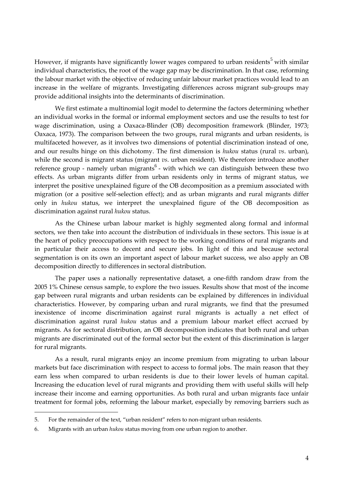However, if migrants have significantly lower wages compared to urban residents<sup>5</sup> with similar individual characteristics, the root of the wage gap may be discrimination. In that case, reforming the labour market with the objective of reducing unfair labour market practices would lead to an increase in the welfare of migrants. Investigating differences across migrant sub-groups may provide additional insights into the determinants of discrimination.

We first estimate a multinomial logit model to determine the factors determining whether an individual works in the formal or informal employment sectors and use the results to test for wage discrimination, using a Oaxaca-Blinder (OB) decomposition framework (Blinder, 1973; Oaxaca, 1973). The comparison between the two groups, rural migrants and urban residents, is multifaceted however, as it involves two dimensions of potential discrimination instead of one, and our results hinge on this dichotomy. The first dimension is *hukou* status (rural *vs*. urban), while the second is migrant status (migrant *vs*. urban resident). We therefore introduce another reference group - namely urban migrants<sup>6</sup> - with which we can distinguish between these two effects. As urban migrants differ from urban residents only in terms of migrant status, we interpret the positive unexplained figure of the OB decomposition as a premium associated with migration (or a positive self-selection effect); and as urban migrants and rural migrants differ only in *hukou* status, we interpret the unexplained figure of the OB decomposition as discrimination against rural *hukou* status.

As the Chinese urban labour market is highly segmented along formal and informal sectors, we then take into account the distribution of individuals in these sectors. This issue is at the heart of policy preoccupations with respect to the working conditions of rural migrants and in particular their access to decent and secure jobs. In light of this and because sectoral segmentation is on its own an important aspect of labour market success, we also apply an OB decomposition directly to differences in sectoral distribution.

The paper uses a nationally representative dataset, a one-fifth random draw from the 2005 1% Chinese census sample, to explore the two issues. Results show that most of the income gap between rural migrants and urban residents can be explained by differences in individual characteristics. However, by comparing urban and rural migrants, we find that the presumed inexistence of income discrimination against rural migrants is actually a net effect of discrimination against rural *hukou* status and a premium labour market effect accrued by migrants. As for sectoral distribution, an OB decomposition indicates that both rural and urban migrants are discriminated out of the formal sector but the extent of this discrimination is larger for rural migrants.

As a result, rural migrants enjoy an income premium from migrating to urban labour markets but face discrimination with respect to access to formal jobs. The main reason that they earn less when compared to urban residents is due to their lower levels of human capital. Increasing the education level of rural migrants and providing them with useful skills will help increase their income and earning opportunities. As both rural and urban migrants face unfair treatment for formal jobs, reforming the labour market, especially by removing barriers such as

-

<sup>5.</sup> For the remainder of the text, 'urban resident' refers to non-migrant urban residents.

<sup>6.</sup> Migrants with an urban *hukou* status moving from one urban region to another.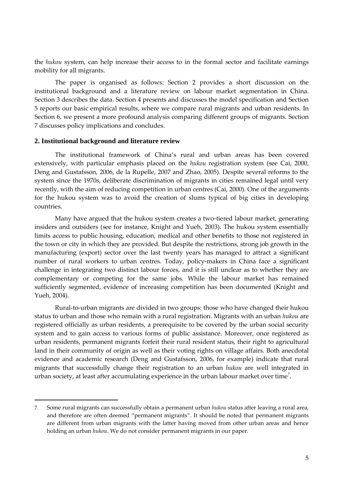the *hukou* system, can help increase their access to in the formal sector and facilitate earnings mobility for all migrants.

The paper is organised as follows: Section 2 provides a short discussion on the institutional background and a literature review on labour market segmentation in China. Section 3 describes the data. Section 4 presents and discusses the model specification and Section 5 reports our basic empirical results, where we compare rural migrants and urban residents. In Section 6, we present a more profound analysis comparing different groups of migrants. Section 7 discusses policy implications and concludes.

#### **2. Institutional background and literature review**

The institutional framework of China's rural and urban areas has been covered extensively, with particular emphasis placed on the *hukou* registration system (see Cai, 2000, Deng and Gustafsson, 2006, de la Rupelle, 2007 and Zhao, 2005). Despite several reforms to the system since the 1970s, deliberate discrimination of migrants in cities remained legal until very recently, with the aim of reducing competition in urban centres (Cai, 2000). One of the arguments for the hukou system was to avoid the creation of slums typical of big cities in developing countries.

Many have argued that the hukou system creates a two-tiered labour market, generating insiders and outsiders (see for instance, Knight and Yueh, 2003). The hukou system essentially limits access to public housing, education, medical and other benefits to those not registered in the town or city in which they are provided. But despite the restrictions, strong job growth in the manufacturing (export) sector over the last twenty years has managed to attract a significant number of rural workers to urban centres. Today, policy-makers in China face a significant challenge in integrating two distinct labour forces, and it is still unclear as to whether they are complementary or competing for the same jobs. While the labour market has remained sufficiently segmented, evidence of increasing competition has been documented (Knight and Yueh, 2004).

Rural-to-urban migrants are divided in two groups: those who have changed their hukou status to urban and those who remain with a rural registration. Migrants with an urban *hukou* are registered officially as urban residents, a prerequisite to be covered by the urban social security system and to gain access to various forms of public assistance. Moreover, once registered as urban residents, permanent migrants forfeit their rural resident status, their right to agricultural land in their community of origin as well as their voting rights on village affairs. Both anecdotal evidence and academic research (Deng and Gustafsson, 2006, for example) indicate that rural migrants that successfully change their registration to an urban *hukou* are well integrated in urban society, at least after accumulating experience in the urban labour market over time $^7\!$ 

<sup>7.</sup> Some rural migrants can successfully obtain a permanent urban *hukou* status after leaving a rural area, and therefore are often deemed 'permanent migrants'. It should be noted that permanent migrants are different from urban migrants with the latter having moved from other urban areas and hence holding an urban *hukou*. We do not consider permanent migrants in our paper.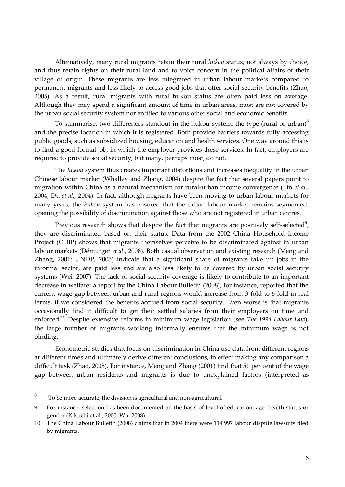Alternatively, many rural migrants retain their rural *hukou* status, not always by choice, and thus retain rights on their rural land and to voice concern in the political affairs of their village of origin. These migrants are less integrated in urban labour markets compared to permanent migrants and less likely to access good jobs that offer social security benefits (Zhao, 2005). As a result, rural migrants with rural hukou status are often paid less on average. Although they may spend a significant amount of time in urban areas, most are not covered by the urban social security system nor entitled to various other social and economic benefits.

To summarise, two differences standout in the hukou system: the type (rural or urban) $^8$ and the precise location in which it is registered. Both provide barriers towards fully accessing public goods, such as subsidized housing, education and health services. One way around this is to find a good formal job, in which the employer provides these services. In fact, employers are required to provide social security, but many, perhaps most, do not.

The *hukou* system thus creates important distortions and increases inequality in the urban Chinese labour market (Whalley and Zhang, 2004) despite the fact that several papers point to migration within China as a natural mechanism for rural-urban income convergence (Lin *et al*., 2004; Du *et al.*, 2004). In fact, although migrants have been moving to urban labour markets for many years, the *hukou* system has ensured that the urban labour market remains segmented, opening the possibility of discrimination against those who are not registered in urban centres.

Previous research shows that despite the fact that migrants are positively self-selected<sup>9</sup>, they are discriminated based on their status. Data from the 2002 China Household Income Project (CHIP) shows that migrants themselves perceive to be discriminated against in urban labour markets (Démurger *et al*., 2008). Both casual observation and existing research (Meng and Zhang, 2001; UNDP, 2005) indicate that a significant share of migrants take up jobs in the informal sector, are paid less and are also less likely to be covered by urban social security systems (Wei, 2007). The lack of social security coverage is likely to contribute to an important decrease in welfare; a report by the China Labour Bulletin (2008), for instance, reported that the current wage gap between urban and rural regions would increase from 3-fold to 6-fold in real terms, if we considered the benefits accrued from social security. Even worse is that migrants occasionally find it difficult to get their settled salaries from their employers on time and enforced<sup>10</sup>. Despite extensive reforms in minimum wage legislation (see *The 1994 Labour Law*), the large number of migrants working informally ensures that the minimum wage is not binding.

Econometric studies that focus on discrimination in China use data from different regions at different times and ultimately derive different conclusions, in effect making any comparison a difficult task (Zhao, 2005). For instance, Meng and Zhang (2001) find that 51 per cent of the wage gap between urban residents and migrants is due to unexplained factors (interpreted as

 8 To be more accurate, the division is agricultural and non-agricultural.

<sup>9.</sup> For instance, selection has been documented on the basis of level of education, age, health status or gender (Kikuchi et al., 2000; Wu, 2008).

<sup>10.</sup> The China Labour Bulletin (2008) claims that in 2004 there were 114 997 labour dispute lawsuits filed by migrants.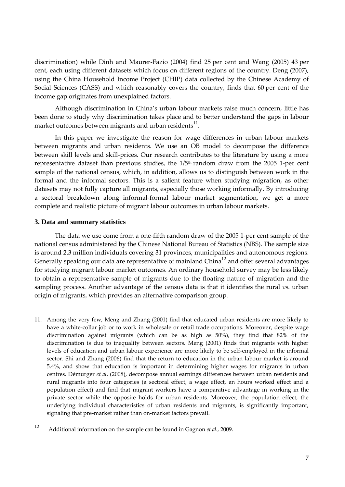discrimination) while Dinh and Maurer-Fazio (2004) find 25 per cent and Wang (2005) 43 per cent, each using different datasets which focus on different regions of the country. Deng (2007), using the China Household Income Project (CHIP) data collected by the Chinese Academy of Social Sciences (CASS) and which reasonably covers the country, finds that 60 per cent of the income gap originates from unexplained factors.

Although discrimination in China's urban labour markets raise much concern, little has been done to study why discrimination takes place and to better understand the gaps in labour market outcomes between migrants and urban residents $^{\rm 11}.$ 

In this paper we investigate the reason for wage differences in urban labour markets between migrants and urban residents. We use an OB model to decompose the difference between skill levels and skill-prices. Our research contributes to the literature by using a more representative dataset than previous studies, the  $1/5<sup>th</sup>$  random draw from the 2005 1-per cent sample of the national census, which, in addition, allows us to distinguish between work in the formal and the informal sectors. This is a salient feature when studying migration, as other datasets may not fully capture all migrants, especially those working informally. By introducing a sectoral breakdown along informal-formal labour market segmentation, we get a more complete and realistic picture of migrant labour outcomes in urban labour markets.

#### **3. Data and summary statistics**

-

The data we use come from a one-fifth random draw of the 2005 1-per cent sample of the national census administered by the Chinese National Bureau of Statistics (NBS). The sample size is around 2.3 million individuals covering 31 provinces, municipalities and autonomous regions. Generally speaking our data are representative of mainland China<sup>12</sup> and offer several advantages for studying migrant labour market outcomes. An ordinary household survey may be less likely to obtain a representative sample of migrants due to the floating nature of migration and the sampling process. Another advantage of the census data is that it identifies the rural *vs*. urban origin of migrants, which provides an alternative comparison group.

<sup>11.</sup> Among the very few, Meng and Zhang (2001) find that educated urban residents are more likely to have a white-collar job or to work in wholesale or retail trade occupations. Moreover, despite wage discrimination against migrants (which can be as high as 50%), they find that 82% of the discrimination is due to inequality between sectors. Meng (2001) finds that migrants with higher levels of education and urban labour experience are more likely to be self-employed in the informal sector. Shi and Zhang (2006) find that the return to education in the urban labour market is around 5.4%, and show that education is important in determining higher wages for migrants in urban centres. Démurger *et al*. (2008), decompose annual earnings differences between urban residents and rural migrants into four categories (a sectoral effect, a wage effect, an hours worked effect and a population effect) and find that migrant workers have a comparative advantage in working in the private sector while the opposite holds for urban residents. Moreover, the population effect, the underlying individual characteristics of urban residents and migrants, is significantly important, signaling that pre-market rather than on-market factors prevail.

<sup>12</sup> Additional information on the sample can be found in Gagnon *et al.*, 2009.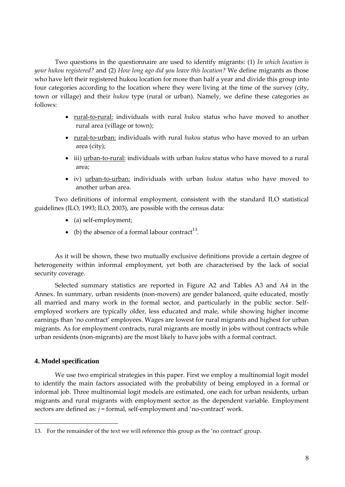Two questions in the questionnaire are used to identify migrants: (1) *In which location is your hukou registered?* and (2) *How long ago did you leave this location?* We define migrants as those who have left their registered hukou location for more than half a year and divide this group into four categories according to the location where they were living at the time of the survey (city, town or village) and their *hukou* type (rural or urban). Namely, we define these categories as follows:

- rural-to-rural: individuals with rural *hukou* status who have moved to another rural area (village or town);
- rural-to-urban: individuals with rural *hukou* status who have moved to an urban area (city);
- iii) urban-to-rural: individuals with urban *hukou* status who have moved to a rural area;
- iv) urban-to-urban: individuals with urban *hukou* status who have moved to another urban area.

Two definitions of informal employment, consistent with the standard ILO statistical guidelines (ILO, 1993; ILO, 2003), are possible with the census data:

- (a) self-employment;
- (b) the absence of a formal labour contract<sup>13</sup>.

As it will be shown, these two mutually exclusive definitions provide a certain degree of heterogeneity within informal employment, yet both are characterised by the lack of social security coverage.

Selected summary statistics are reported in Figure A2 and Tables A3 and A4 in the Annex. In summary, urban residents (non-movers) are gender balanced, quite educated, mostly all married and many work in the formal sector, and particularly in the public sector. Selfemployed workers are typically older, less educated and male, while showing higher income earnings than 'no contract' employees. Wages are lowest for rural migrants and highest for urban migrants. As for employment contracts, rural migrants are mostly in jobs without contracts while urban residents (non-migrants) are the most likely to have jobs with a formal contract.

#### **4. Model specification**

We use two empirical strategies in this paper. First we employ a multinomial logit model to identify the main factors associated with the probability of being employed in a formal or informal job. Three multinomial logit models are estimated, one each for urban residents, urban migrants and rural migrants with employment sector as the dependent variable. Employment sectors are defined as: *j* = formal, self-employment and 'no-contract' work.

<sup>13.</sup> For the remainder of the text we will reference this group as the 'no contract' group.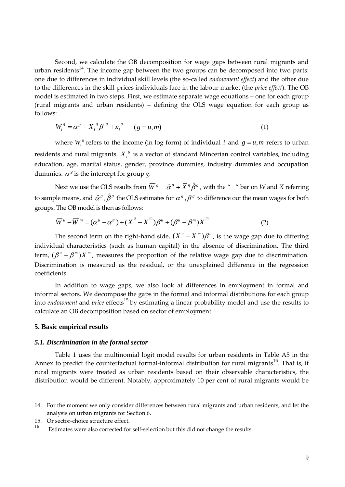Second, we calculate the OB decomposition for wage gaps between rural migrants and urban residents $^{14}$ . The income gap between the two groups can be decomposed into two parts: one due to differences in individual skill levels (the so-called *endowment effect*) and the other due to the differences in the skill-prices individuals face in the labour market (the *price effect*). The OB model is estimated in two steps. First, we estimate separate wage equations – one for each group (rural migrants and urban residents) – defining the OLS wage equation for each group as follows:

$$
W_i^g = \alpha^g + X_i^g \beta^g + \varepsilon_i^g \qquad (g = u, m) \tag{1}
$$

where  $W_i^s$  refers to the income (in log form) of individual *i* and  $g = u, m$  refers to urban residents and rural migrants.  $X_i^s$  is a vector of standard Mincerian control variables, including education, age, marital status, gender, province dummies, industry dummies and occupation dummies.  $\alpha^g$  is the intercept for group *g*.

Next we use the OLS results from  $\overline{W}^{\,g}=\hat{\alpha}^{\,g}+\overline{X}^{\,g}\hat{\beta}^{\,g}$  , with the "  $\overline{ }$  " bar on  $W$  and  $X$  referring to sample means, and  $\hat{\alpha}^s$  ,  $\hat{\beta}^s$  the OLS estimates for  $\alpha^s$  ,  $\beta^s$  to difference out the mean wages for both groups. The OB model is then as follows:

$$
\overline{W}^{u} - \overline{W}^{m} = (\alpha^{u} - \alpha^{m}) + (\overline{X}^{u} - \overline{X}^{m})\beta^{u} + (\beta^{u} - \beta^{m})\overline{X}^{m}
$$
\n(2)

The second term on the right-hand side,  $(X^u - X^m)\beta^u$ , is the wage gap due to differing individual characteristics (such as human capital) in the absence of discrimination. The third term,  $(\beta^u - \beta^m)X^m$ , measures the proportion of the relative wage gap due to discrimination. Discrimination is measured as the residual, or the unexplained difference in the regression coefficients.

In addition to wage gaps, we also look at differences in employment in formal and informal sectors. We decompose the gaps in the formal and informal distributions for each group into *endowment* and *price* effects<sup>15</sup> by estimating a linear probability model and use the results to calculate an OB decomposition based on sector of employment.

#### **5. Basic empirical results**

#### *5.1. Discrimination in the formal sector*

Table 1 uses the multinomial logit model results for urban residents in Table A5 in the Annex to predict the counterfactual formal-informal distribution for rural migrants<sup>16</sup>. That is, if rural migrants were treated as urban residents based on their observable characteristics, the distribution would be different. Notably, approximately 10 per cent of rural migrants would be

<sup>14.</sup> For the moment we only consider differences between rural migrants and urban residents, and let the analysis on urban migrants for Section 6.

<sup>15.</sup> Or sector-choice structure effect.

Estimates were also corrected for self-selection but this did not change the results.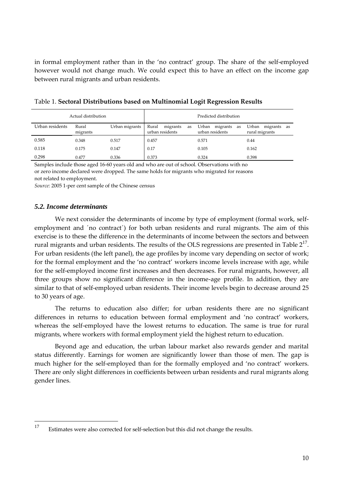in formal employment rather than in the 'no contract' group. The share of the self-employed however would not change much. We could expect this to have an effect on the income gap between rural migrants and urban residents.

|                 | Actual distribution |                | Predicted distribution                     |                                            |                                           |  |  |  |  |  |
|-----------------|---------------------|----------------|--------------------------------------------|--------------------------------------------|-------------------------------------------|--|--|--|--|--|
| Urban residents | Rural<br>migrants   | Urban migrants | Rural<br>migrants<br>as<br>urban residents | Urban<br>migrants<br>as<br>urban residents | Urban<br>migrants<br>as<br>rural migrants |  |  |  |  |  |
| 0.585           | 0.348               | 0.517          | 0.457                                      | 0.571                                      | 0.44                                      |  |  |  |  |  |
| 0.118           | 0.175               | 0.147          | 0.17                                       | 0.105                                      | 0.162                                     |  |  |  |  |  |
| 0.298           | 0.477               | 0.336          | 0.373                                      | 0.324                                      | 0.398                                     |  |  |  |  |  |

Table 1. **Sectoral Distributions based on Multinomial Logit Regression Results**

Samples include those aged 16-60 years old and who are out of school. Observations with no or zero income declared were dropped. The same holds for migrants who migrated for reasons not related to employment.

*Source:* 2005 1-per cent sample of the Chinese census

#### *5.2. Income determinants*

We next consider the determinants of income by type of employment (formal work, selfemployment and ´no contract´) for both urban residents and rural migrants. The aim of this exercise is to these the difference in the determinants of income between the sectors and between rural migrants and urban residents. The results of the OLS regressions are presented in Table  $2^{17}$ . For urban residents (the left panel), the age profiles by income vary depending on sector of work; for the formal employment and the 'no contract' workers income levels increase with age, while for the self-employed income first increases and then decreases. For rural migrants, however, all three groups show no significant difference in the income-age profile. In addition, they are similar to that of self-employed urban residents. Their income levels begin to decrease around 25 to 30 years of age.

The returns to education also differ; for urban residents there are no significant differences in returns to education between formal employment and 'no contract' workers, whereas the self-employed have the lowest returns to education. The same is true for rural migrants, where workers with formal employment yield the highest return to education.

Beyond age and education, the urban labour market also rewards gender and marital status differently. Earnings for women are significantly lower than those of men. The gap is much higher for the self-employed than for the formally employed and 'no contract' workers. There are only slight differences in coefficients between urban residents and rural migrants along gender lines.

<sup>17</sup> Estimates were also corrected for self-selection but this did not change the results.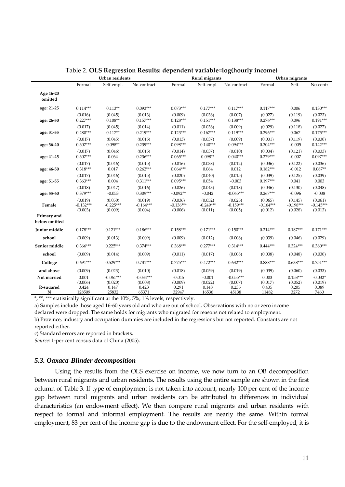|                              |                                   | Urban residents                   |                                   |                                   | Rural migrants                    | o                                 |                                   | Urban migrants                    |                                   |
|------------------------------|-----------------------------------|-----------------------------------|-----------------------------------|-----------------------------------|-----------------------------------|-----------------------------------|-----------------------------------|-----------------------------------|-----------------------------------|
|                              | Formal                            | Self-empl.                        | No-contract                       | Formal                            | Self-empl.                        | No-contract                       | Formal                            | Self-                             | No-contr                          |
| Age 16-20<br>omitted         |                                   |                                   |                                   |                                   |                                   |                                   |                                   |                                   |                                   |
| age: 21-25                   | $0.114***$                        | $0.113**$                         | $0.093***$                        | $0.073***$                        | $0.177***$                        | $0.117***$                        | $0.117***$                        | 0.006                             | $0.130***$                        |
| age: 26-30                   | (0.016)<br>$0.227***$             | (0.045)<br>$0.108**$              | (0.013)<br>$0.157***$             | (0.009)<br>$0.128***$             | (0.036)<br>$0.151***$             | (0.007)<br>$0.138***$             | (0.027)<br>$0.276***$             | (0.119)<br>0.096                  | (0.023)<br>$0.191***$             |
| age: 31-35                   | (0.017)<br>$0.280***$             | (0.045)<br>$0.117**$              | (0.014)<br>$0.219***$             | (0.011)<br>$0.123***$             | (0.036)<br>$0.167***$             | (0.009)<br>$0.119***$             | (0.029)<br>$0.296***$             | (0.118)<br>0.067                  | (0.027)<br>$0.175***$             |
| age: 36-40                   | (0.017)<br>$0.307***$             | (0.045)<br>$0.098**$              | (0.015)<br>$0.239***$             | (0.013)<br>$0.098***$             | (0.037)<br>$0.140***$             | (0.009)<br>$0.094***$             | (0.031)<br>$0.304***$             | (0.119)<br>$-0.005$               | (0.030)<br>$0.142***$             |
| age: 41-45                   | (0.017)<br>$0.307***$             | (0.046)<br>0.064                  | (0.015)<br>$0.236***$             | (0.014)<br>$0.065***$             | (0.037)<br>$0.098**$              | (0.010)<br>$0.040***$             | (0.034)<br>$0.279***$             | (0.121)<br>$-0.007$               | (0.033)<br>$0.097***$             |
| age: 46-50                   | (0.017)<br>$0.318***$             | (0.046)<br>0.017                  | (0.015)<br>$0.262***$             | (0.016)<br>$0.064***$             | (0.038)<br>0.064                  | (0.012)<br>0.012                  | (0.036)<br>$0.182***$             | (0.122)<br>$-0.012$               | (0.036)<br>$0.087**$              |
| age: 51-55                   | (0.017)<br>$0.363***$             | (0.046)<br>0.004                  | (0.015)<br>$0.311***$             | (0.020)<br>$0.095***$             | (0.040)<br>0.054                  | (0.015)<br>$-0.003$               | (0.039)<br>$0.197***$             | (0.125)<br>0.041                  | (0.039)<br>0.003                  |
| age: 55-60                   | (0.018)<br>$0.379***$             | (0.047)<br>$-0.053$               | (0.016)<br>$0.309***$             | (0.026)<br>$-0.092**$             | (0.043)<br>$-0.042$               | (0.018)<br>$-0.065***$            | (0.046)<br>$0.267***$             | (0.130)<br>$-0.096$               | (0.048)<br>$-0.038$               |
| Female                       | (0.019)<br>$-0.132***$<br>(0.003) | (0.050)<br>$-0.225***$<br>(0.009) | (0.019)<br>$-0.164***$<br>(0.004) | (0.036)<br>$-0.136***$<br>(0.006) | (0.052)<br>$-0.249***$<br>(0.011) | (0.025)<br>$-0.159***$<br>(0.005) | (0.065)<br>$-0.164***$<br>(0.012) | (0.145)<br>$-0.198***$<br>(0.028) | (0.061)<br>$-0.145***$<br>(0.013) |
| Primary and<br>below omitted |                                   |                                   |                                   |                                   |                                   |                                   |                                   |                                   |                                   |
| Junior middle                | $0.178***$                        | $0.121***$                        | $0.186***$                        | $0.158***$                        | $0.171***$                        | $0.150***$                        | $0.214***$                        | $0.187***$                        | $0.171***$                        |
| school                       | (0.009)                           | (0.013)                           | (0.009)                           | (0.009)                           | (0.012)                           | (0.006)                           | (0.039)                           | (0.046)                           | (0.029)                           |
| Senior middle                | $0.366***$                        | $0.225***$                        | $0.374***$                        | $0.368***$                        | $0.277***$                        | $0.314***$                        | $0.444***$                        | $0.324***$                        | $0.360***$                        |
| school                       | (0.009)                           | (0.014)                           | (0.009)                           | (0.011)                           | (0.017)                           | (0.008)                           | (0.038)                           | (0.048)                           | (0.030)                           |
| College                      | $0.691***$                        | $0.529***$                        | $0.731***$                        | $0.775***$                        | $0.472***$                        | $0.632***$                        | $0.888***$                        | $0.638***$                        | $0.751***$                        |
| and above                    | (0.009)                           | (0.023)                           | (0.010)                           | (0.018)                           | (0.059)                           | (0.019)                           | (0.039)                           | (0.060)                           | (0.033)                           |
| Not married                  | 0.001                             | $-0.061***$                       | $-0.034***$                       | $-0.015$                          | $-0.001$                          | $-0.055***$                       | 0.003                             | $0.153***$                        | $-0.032*$                         |
| R-squared<br>N               | (0.006)<br>0.424<br>128509        | (0.020)<br>0.147<br>25832         | (0.008)<br>0.423<br>65371         | (0.009)<br>0.291<br>32947         | (0.022)<br>0.148<br>16536         | (0.007)<br>0.235<br>45138         | (0.017)<br>0.435<br>11482         | (0.052)<br>0.205<br>3272          | (0.019)<br>0.389<br>7460          |

| Table 2. OLS Regression Results: dependent variable=log(hourly income) |  |  |  |  |  |  |
|------------------------------------------------------------------------|--|--|--|--|--|--|
|------------------------------------------------------------------------|--|--|--|--|--|--|

\*, \*\*, \*\*\* statistically significant at the 10%, 5%, 1% levels, respectively.

a) Samples include those aged 16-60 years old and who are out of school. Observations with no or zero income

declared were dropped. The same holds for migrants who migrated for reasons not related to employment.

b) Province, industry and occupation dummies are included in the regressions but not reported. Constants are not

reported either.

c) Standard errors are reported in brackets.

*Source:* 1-per cent census data of China (2005).

#### *5.3. Oaxaca-Blinder decomposition*

Using the results from the OLS exercise on income, we now turn to an OB decomposition between rural migrants and urban residents. The results using the entire sample are shown in the first column of Table 3. If type of employment is not taken into account, nearly 100 per cent of the income gap between rural migrants and urban residents can be attributed to differences in individual characteristics (an endowment effect). We then compare rural migrants and urban residents with respect to formal and informal employment. The results are nearly the same. Within formal employment, 83 per cent of the income gap is due to the endowment effect. For the self-employed, it is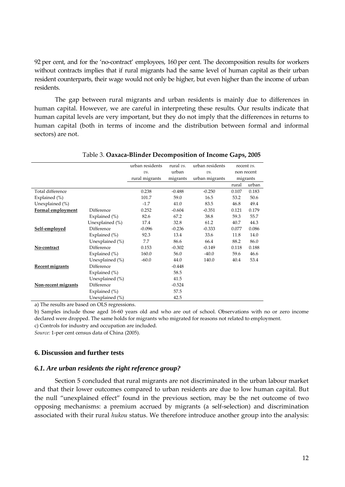92 per cent, and for the 'no-contract' employees, 160 per cent. The decomposition results for workers without contracts implies that if rural migrants had the same level of human capital as their urban resident counterparts, their wage would not only be higher, but even higher than the income of urban residents.

The gap between rural migrants and urban residents is mainly due to differences in human capital. However, we are careful in interpreting these results. Our results indicate that human capital levels are very important, but they do not imply that the differences in returns to human capital (both in terms of income and the distribution between formal and informal sectors) are not.

|                          |                    | urban residents | rural vs. | urban residents |       | recent vs. |
|--------------------------|--------------------|-----------------|-----------|-----------------|-------|------------|
|                          |                    | vs.             | urban     | vs.             |       | non recent |
|                          |                    | rural migrants  | migrants  | urban migrants  |       | migrants   |
|                          |                    |                 |           |                 | rural | urban      |
| Total difference         |                    | 0.238           | $-0.488$  | $-0.250$        | 0.107 | 0.183      |
| Explained $(\%)$         |                    | 101.7           | 59.0      | 16.5            | 53.2  | 50.6       |
| Unexplained (%)          |                    | $-1.7$          | 41.0      | 83.5            | 46.8  | 49.4       |
| <b>Formal employment</b> | Difference         | 0.252           | $-0.604$  | $-0.351$        | 0.121 | 0.179      |
|                          | Explained $(\%)$   | 82.6            | 67.2      | 38.8            | 59.3  | 55.7       |
|                          | Unexplained (%)    | 17.4            | 32.8      | 61.2            | 40.7  | 44.3       |
| Self-employed            | Difference         | $-0.096$        | $-0.236$  | $-0.333$        | 0.077 | 0.086      |
|                          | Explained $(\% )$  | 92.3            | 13.4      | 33.6            | 11.8  | 14.0       |
|                          | Unexplained $(\%)$ | 7.7             | 86.6      | 66.4            | 88.2  | 86.0       |
| No-contract              | Difference         | 0.153           | $-0.302$  | $-0.149$        | 0.118 | 0.188      |
|                          | Explained (%)      | 160.0           | 56.0      | $-40.0$         | 59.6  | 46.6       |
|                          | Unexplained $(\%)$ | $-60.0$         | 44.0      | 140.0           | 40.4  | 53.4       |
| <b>Recent migrants</b>   | Difference         |                 | $-0.448$  |                 |       |            |
|                          | Explained $(\%)$   |                 | 58.5      |                 |       |            |
|                          | Unexplained $(\%)$ |                 | 41.5      |                 |       |            |
| Non-recent migrants      | Difference         |                 | $-0.524$  |                 |       |            |
|                          | Explained (%)      |                 | 57.5      |                 |       |            |
|                          | Unexplained (%)    |                 | 42.5      |                 |       |            |

#### Table 3. **Oaxaca-Blinder Decomposition of Income Gaps, 2005**

a) The results are based on OLS regressions.

b) Samples include those aged 16-60 years old and who are out of school. Observations with no or zero income declared were dropped. The same holds for migrants who migrated for reasons not related to employment. c) Controls for industry and occupation are included.

*Source:* 1-per cent census data of China (2005).

#### **6. Discussion and further tests**

#### *6.1. Are urban residents the right reference group?*

Section 5 concluded that rural migrants are not discriminated in the urban labour market and that their lower outcomes compared to urban residents are due to low human capital. But the null 'unexplained effect' found in the previous section, may be the net outcome of two opposing mechanisms: a premium accrued by migrants (a self-selection) and discrimination associated with their rural *hukou* status. We therefore introduce another group into the analysis: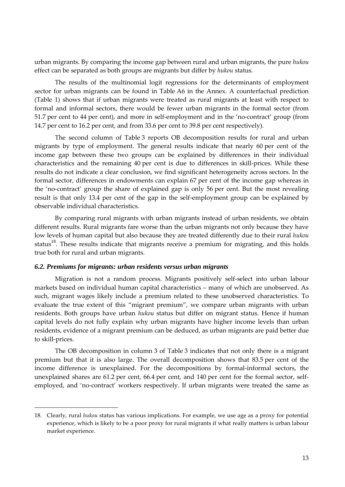urban migrants. By comparing the income gap between rural and urban migrants, the pure *hukou* effect can be separated as both groups are migrants but differ by *hukou* status.

The results of the multinomial logit regressions for the determinants of employment sector for urban migrants can be found in Table A6 in the Annex. A counterfactual prediction (Table 1) shows that if urban migrants were treated as rural migrants at least with respect to formal and informal sectors, there would be fewer urban migrants in the formal sector (from 51.7 per cent to 44 per cent), and more in self-employment and in the 'no-contract' group (from 14.7 per cent to 16.2 per cent, and from 33.6 per cent to 39.8 per cent respectively).

The second column of Table 3 reports OB decomposition results for rural and urban migrants by type of employment. The general results indicate that nearly 60 per cent of the income gap between these two groups can be explained by differences in their individual characteristics and the remaining 40 per cent is due to differences in skill-prices. While these results do not indicate a clear conclusion, we find significant heterogeneity across sectors. In the formal sector, differences in endowments can explain 67 per cent of the income gap whereas in the 'no-contract' group the share of explained gap is only 56 per cent. But the most revealing result is that only 13.4 per cent of the gap in the self-employment group can be explained by observable individual characteristics.

By comparing rural migrants with urban migrants instead of urban residents, we obtain different results. Rural migrants fare worse than the urban migrants not only because they have low levels of human capital but also because they are treated differently due to their rural *hukou* status<sup>18</sup>. These results indicate that migrants receive a premium for migrating, and this holds true both for rural and urban migrants.

#### *6.2. Premiums for migrants: urban residents versus urban migrants*

Migration is not a random process. Migrants positively self-select into urban labour markets based on individual human capital characteristics – many of which are unobserved. As such, migrant wages likely include a premium related to these unobserved characteristics. To evaluate the true extent of this "migrant premium", we compare urban migrants with urban residents. Both groups have urban *hukou* status but differ on migrant status. Hence if human capital levels do not fully explain why urban migrants have higher income levels than urban residents, evidence of a migrant premium can be deduced, as urban migrants are paid better due to skill-prices.

The OB decomposition in column 3 of Table 3 indicates that not only there is a migrant premium but that it is also large. The overall decomposition shows that 83.5 per cent of the income difference is unexplained. For the decompositions by formal-informal sectors, the unexplained shares are 61.2 per cent, 66.4 per cent, and 140 per cent for the formal sector, selfemployed, and 'no-contract' workers respectively. If urban migrants were treated the same as

<sup>18.</sup> Clearly, rural *hukou* status has various implications. For example, we use age as a proxy for potential experience, which is likely to be a poor proxy for rural migrants if what really matters is urban labour market experience.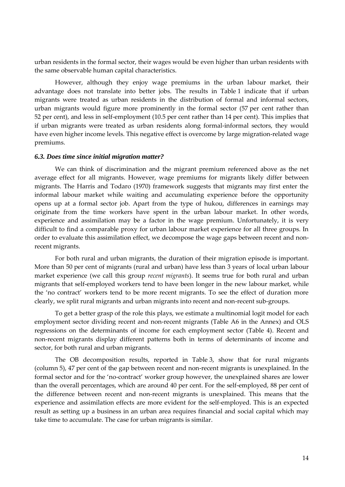urban residents in the formal sector, their wages would be even higher than urban residents with the same observable human capital characteristics.

However, although they enjoy wage premiums in the urban labour market, their advantage does not translate into better jobs. The results in Table 1 indicate that if urban migrants were treated as urban residents in the distribution of formal and informal sectors, urban migrants would figure more prominently in the formal sector (57 per cent rather than 52 per cent), and less in self-employment (10.5 per cent rather than 14 per cent). This implies that if urban migrants were treated as urban residents along formal-informal sectors, they would have even higher income levels. This negative effect is overcome by large migration-related wage premiums.

#### *6.3. Does time since initial migration matter?*

We can think of discrimination and the migrant premium referenced above as the net average effect for all migrants. However, wage premiums for migrants likely differ between migrants. The Harris and Todaro (1970) framework suggests that migrants may first enter the informal labour market while waiting and accumulating experience before the opportunity opens up at a formal sector job. Apart from the type of hukou, differences in earnings may originate from the time workers have spent in the urban labour market. In other words, experience and assimilation may be a factor in the wage premium. Unfortunately, it is very difficult to find a comparable proxy for urban labour market experience for all three groups. In order to evaluate this assimilation effect, we decompose the wage gaps between recent and nonrecent migrants.

For both rural and urban migrants, the duration of their migration episode is important. More than 50 per cent of migrants (rural and urban) have less than 3 years of local urban labour market experience (we call this group *recent migrants*). It seems true for both rural and urban migrants that self-employed workers tend to have been longer in the new labour market, while the 'no contract' workers tend to be more recent migrants. To see the effect of duration more clearly, we split rural migrants and urban migrants into recent and non-recent sub-groups.

To get a better grasp of the role this plays, we estimate a multinomial logit model for each employment sector dividing recent and non-recent migrants (Table A6 in the Annex) and OLS regressions on the determinants of income for each employment sector (Table 4). Recent and non-recent migrants display different patterns both in terms of determinants of income and sector, for both rural and urban migrants.

The OB decomposition results, reported in Table 3, show that for rural migrants (column 5), 47 per cent of the gap between recent and non-recent migrants is unexplained. In the formal sector and for the 'no-contract' worker group however, the unexplained shares are lower than the overall percentages, which are around 40 per cent. For the self-employed, 88 per cent of the difference between recent and non-recent migrants is unexplained. This means that the experience and assimilation effects are more evident for the self-employed. This is an expected result as setting up a business in an urban area requires financial and social capital which may take time to accumulate. The case for urban migrants is similar.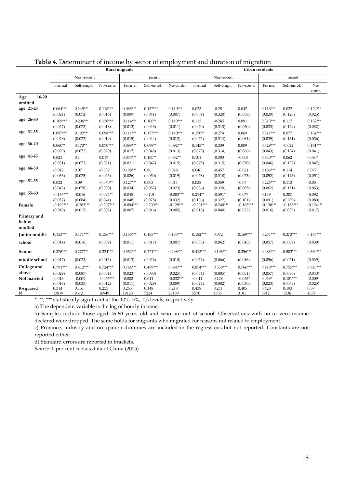|                  | Rural migrants         |                       |                       |                       |                       |                        | Urban residents      |                      |                     |                       |                  |                       |
|------------------|------------------------|-----------------------|-----------------------|-----------------------|-----------------------|------------------------|----------------------|----------------------|---------------------|-----------------------|------------------|-----------------------|
|                  |                        | Non-recent            |                       |                       | recent                |                        |                      | Non-recent           |                     |                       | recent           |                       |
|                  | Formal                 | Self-empl.            | No-contr.             | Formal                | Self-empl.            | No-contr.              | Formal               | Self-empl.           | No-contr.           | Formal                | Self-empl.       | No-<br>contr.         |
| $16 - 20$<br>Age |                        |                       |                       |                       |                       |                        |                      |                      |                     |                       |                  |                       |
| omitted          |                        |                       |                       |                       |                       |                        |                      |                      |                     |                       |                  |                       |
| age: 21-25       | $0.064***$<br>(0.024)  | $0.245***$<br>(0.072) | $0.118***$<br>(0.016) | $0.065***$<br>(0.009) | $0.137***$<br>(0.041) | $0.110***$<br>(0.007)  | 0.023<br>(0.069)     | $-0.25$<br>(0.320)   | 0.047<br>(0.058)    | $0.116***$<br>(0.029) | 0.022<br>(0.126) | $0.129***$<br>(0.025) |
| age: 26-30       | $0.109***$             | $0.206***$            | $0.138***$            | $0.114***$            | $0.100**$             | $0.119***$             | 0.113                | $-0.245$             | 0.091               | $0.313***$            | 0.117            | $0.182***$            |
|                  | (0.027)                | (0.072)               | (0.018)               | (0.013)               | (0.043)               | (0.011)                | (0.070)              | (0.313)              | (0.060)             | (0.033)               | (0.129)          | (0.032)               |
| age: 31-35       | $0.097***$             | $0.192***$            | $0.098***$            | $0.111***$            | $0.137***$            | $0.110***$             | $0.150**$            | $-0.274$             | 0.069               | $0.311***$            | 0.077            | $0.164***$            |
|                  | (0.028)                | (0.072)               | (0.019)               | (0.015)               | (0.044)               | (0.012)                | (0.072)              | (0.314)              | (0.064)             | (0.039)               | (0.131)          | (0.036)               |
| age: 36-40       | $0.060**$              | $0.170**$             | $0.070***$            | $0.098***$            | $0.099**$             | $0.092***$             | $0.145**$            | $-0.339$             | 0.009               | $0.329***$            | $-0.022$         | $0.161***$            |
|                  | (0.029)                | (0.072)               | (0.020)               | (0.017)               | (0.045)               | (0.013)                | (0.073)              | (0.314)              | (0.066)             | (0.043)               | (0.134)          | (0.041)               |
| age: 41-45       | 0.021                  | 0.1                   | 0.017                 | $0.073***$            | $0.100**$             | $0.032**$              | 0.101                | $-0.393$             | $-0.003$            | $0.340***$            | 0.062            | $0.080*$              |
|                  | (0.031)                | (0.073)               | (0.021)               | (0.021)               | (0.047)               | (0.015)                | (0.075)              | (0.315)              | (0.070)             | (0.046)               | (0.137)          | (0.047)               |
| age: 46-50       | $-0.012$               | 0.07                  | $-0.039$              | $0.108***$            | 0.06                  | 0.028                  | 0.046                | $-0.457$             | $-0.021$            | $0.186***$            | 0.114            | 0.077                 |
|                  | (0.036)                | (0.075)               | (0.025)               | (0.026)               | (0.050)               | (0.019)                | (0.078)              | (0.318)              | (0.073)             | (0.052)               | (0.143)          | (0.051)               |
| age: 51-55       | 0.032                  | 0.09                  | $-0.070**$            | $0.127***$            | 0.003                 | 0.014                  | 0.038                | $-0.359$             | $-0.07$             | $0.225***$            | 0.113            | $-0.05$               |
| age: 55-60       | (0.043)                | (0.078)               | (0.030)               | (0.034)               | (0.057)               | (0.023)                | (0.086)              | (0.320)              | (0.085)             | (0.062)               | (0.151)          | (0.063)               |
|                  | $-0.167***$<br>(0.057) | $-0.016$<br>(0.084)   | $-0.094**$<br>(0.041) | $-0.045$<br>(0.048)   | $-0.101$<br>(0.078)   | $-0.083***$<br>(0.032) | $0.214**$<br>(0.106) | $-0.591*$<br>(0.327) | $-0.077$<br>(0.101) | 0.149<br>(0.091)      | 0.307<br>(0.209) | $-0.092$<br>(0.080)   |
| Female           | $-0.192***$            | $-0.283***$           | $-0.207***$           | $-0.094***$           | $-0.200***$           | $-0.129***$            | $-0.201***$          | $-0.240***$          | $-0.163***$         | $-0.130***$           | $-0.158***$      | $-0.124***$           |
|                  | (0.010)                | (0.015)               | (0.008)               | (0.007)               | (0.016)               | (0.005)                | (0.018)              | (0.040)              | (0.022)             | (0.016)               | (0.039)          | (0.017)               |
| Primary and      |                        |                       |                       |                       |                       |                        |                      |                      |                     |                       |                  |                       |
| below            |                        |                       |                       |                       |                       |                        |                      |                      |                     |                       |                  |                       |
| omitted          |                        |                       |                       |                       |                       |                        |                      |                      |                     |                       |                  |                       |
| Junior middle    | $0.153***$             | $0.171***$            | $0.156***$            | $0.155***$            | $0.165***$            | $0.135***$             | $0.182***$           | 0.072                | $0.169***$          | $0.254***$            | $0.373***$       | $0.173***$            |
| school           | (0.014)                | (0.016)               | (0.009)               | (0.011)               | (0.017)               | (0.007)                | (0.053)              | (0.062)              | (0.045)             | (0.057)               | (0.069)          | (0.039)               |
| Senior           | $0.376***$             | $0.277***$            | $0.324***$            | $0.352***$            | $0.271***$            | $0.298***$             | $0.413***$           | $0.196***$           | $0.356***$          | $0.483***$            | $0.503***$       | $0.360***$            |
| middle school    | (0.017)                | (0.023)               | (0.013)               | (0.013)               | (0.026)               | (0.010)                | (0.053)              | (0.066)              | (0.046)             | (0.056)               | (0.071)          | (0.039)               |
| College and      | $0.791***$             | $0.412***$            | $0.724***$            | $0.744***$            | $0.499***$            | $0.544***$             | $0.874***$           | $0.558***$           | $0.766***$          | $0.918***$            | $0.755***$       | $0.745***$            |
| above            | (0.029)                | (0.087)               | (0.031)               | (0.023)               | (0.080)               | (0.025)                | (0.054)              | (0.085)              | (0.051)             | (0.057)               | (0.086)          | (0.043)               |
| Not married      | $-0.013$               | $-0.001$              | $-0.075***$           | $-0.002$              | 0.011                 | $-0.032***$            | $-0.011$             | 0.128                | $-0.053*$           | $0.039*$              | $0.181***$       | $-0.009$              |
| R-squared        | (0.016)<br>0.314       | (0.035)<br>0.151      | (0.012)<br>0.253      | (0.011)<br>0.263      | (0.029)<br>0.148      | (0.009)<br>0.218       | (0.024)<br>0.438     | (0.082)<br>0.241     | (0.030)<br>0.405    | (0.023)<br>0.428      | (0.065)<br>0.193 | (0.025)<br>0.37       |
| N                | 13819                  | 9312                  | 16949                 | 19128                 | 7224                  | 28189                  | 5570                 | 1736                 | 3101                | 5912                  | 1536             | 4359                  |

**Table 4.** Determinant of income by sector of employment and duration of migration

\*, \*\*, \*\*\* statistically significant at the 10%, 5%, 1% levels, respectively.

a) The dependent variable is the log of hourly income.

b) Samples include those aged 16-60 years old and who are out of school. Observations with no or zero income declared were dropped. The same holds for migrants who migrated for reasons not related to employment.

c) Province, industry and occupation dummies are included in the regressions but not reported. Constants are not reported either.

d) Standard errors are reported in brackets.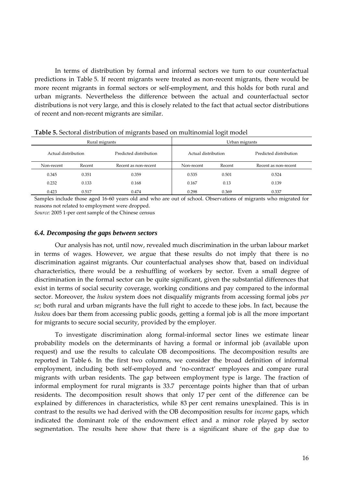In terms of distribution by formal and informal sectors we turn to our counterfactual predictions in Table 5. If recent migrants were treated as non-recent migrants, there would be more recent migrants in formal sectors or self-employment, and this holds for both rural and urban migrants. Nevertheless the difference between the actual and counterfactual sector distributions is not very large, and this is closely related to the fact that actual sector distributions of recent and non-recent migrants are similar.

|                     |                                | $\sim$                 |                     | $\sim$ |                        |  |  |  |
|---------------------|--------------------------------|------------------------|---------------------|--------|------------------------|--|--|--|
|                     | Rural migrants                 |                        | Urban migrants      |        |                        |  |  |  |
| Actual distribution |                                | Predicted distribution | Actual distribution |        | Predicted distribution |  |  |  |
| Non-recent          | Recent<br>Recent as non-recent |                        | Non-recent          | Recent | Recent as non-recent   |  |  |  |
| 0.345               | 0.351                          | 0.359                  | 0.535               | 0.501  | 0.524                  |  |  |  |
| 0.232               | 0.133                          | 0.168                  | 0.167               | 0.13   | 0.139                  |  |  |  |
| 0.423               | 0.517                          | 0.474                  | 0.298               | 0.369  | 0.337                  |  |  |  |

**Table 5.** Sectoral distribution of migrants based on multinomial logit model

Samples include those aged 16-60 years old and who are out of school. Observations of migrants who migrated for reasons not related to employment were dropped.

*Source:* 2005 1-per cent sample of the Chinese census

#### *6.4. Decomposing the gaps between sectors*

Our analysis has not, until now, revealed much discrimination in the urban labour market in terms of wages. However, we argue that these results do not imply that there is no discrimination against migrants. Our counterfactual analyses show that, based on individual characteristics, there would be a reshuffling of workers by sector. Even a small degree of discrimination in the formal sector can be quite significant, given the substantial differences that exist in terms of social security coverage, working conditions and pay compared to the informal sector. Moreover, the *hukou* system does not disqualify migrants from accessing formal jobs *per se*; both rural and urban migrants have the full right to accede to these jobs. In fact, because the *hukou* does bar them from accessing public goods, getting a formal job is all the more important for migrants to secure social security, provided by the employer.

To investigate discrimination along formal-informal sector lines we estimate linear probability models on the determinants of having a formal or informal job (available upon request) and use the results to calculate OB decompositions. The decomposition results are reported in Table 6. In the first two columns, we consider the broad definition of informal employment, including both self-employed and 'no-contract' employees and compare rural migrants with urban residents. The gap between employment type is large. The fraction of informal employment for rural migrants is 33.7 percentage points higher than that of urban residents. The decomposition result shows that only 17 per cent of the difference can be explained by differences in characteristics, while 83 per cent remains unexplained. This is in contrast to the results we had derived with the OB decomposition results for *income* gaps, which indicated the dominant role of the endowment effect and a minor role played by sector segmentation. The results here show that there is a significant share of the gap due to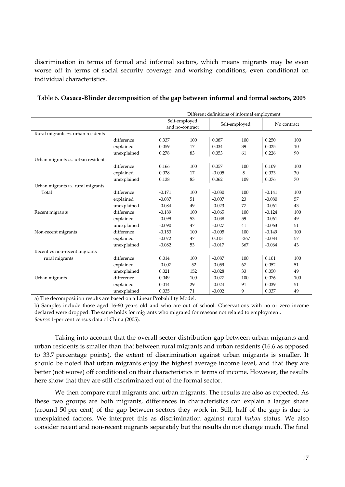discrimination in terms of formal and informal sectors, which means migrants may be even worse off in terms of social security coverage and working conditions, even conditional on individual characteristics.

|                                    | Different definitions of informal employment |                                  |       |               |        |             |     |  |  |
|------------------------------------|----------------------------------------------|----------------------------------|-------|---------------|--------|-------------|-----|--|--|
|                                    |                                              | Self-employed<br>and no-contract |       | Self-employed |        | No contract |     |  |  |
| Rural migrants vs. urban residents |                                              |                                  |       |               |        |             |     |  |  |
|                                    | difference                                   | 0.337                            | 100   | 0.087         | 100    | 0.250       | 100 |  |  |
|                                    | explained                                    | 0.059                            | 17    | 0.034         | 39     | 0.025       | 10  |  |  |
|                                    | unexplained                                  | 0.278                            | 83    | 0.053         | 61     | 0.226       | 90  |  |  |
| Urban migrants vs. urban residents |                                              |                                  |       |               |        |             |     |  |  |
|                                    | difference                                   | 0.166                            | 100   | 0.057         | 100    | 0.109       | 100 |  |  |
|                                    | explained                                    | 0.028                            | 17    | $-0.005$      | -9     | 0.033       | 30  |  |  |
|                                    | unexplained                                  | 0.138                            | 83    | 0.062         | 109    | 0.076       | 70  |  |  |
| Urban migrants vs. rural migrants  |                                              |                                  |       |               |        |             |     |  |  |
| Total                              | difference                                   | $-0.171$                         | 100   | $-0.030$      | 100    | $-0.141$    | 100 |  |  |
|                                    | explained                                    | $-0.087$                         | 51    | $-0.007$      | 23     | $-0.080$    | 57  |  |  |
|                                    | unexplained                                  | $-0.084$                         | 49    | $-0.023$      | 77     | $-0.061$    | 43  |  |  |
| Recent migrants                    | difference                                   | $-0.189$                         | 100   | $-0.065$      | 100    | $-0.124$    | 100 |  |  |
|                                    | explained                                    | $-0.099$                         | 53    | $-0.038$      | 59     | $-0.061$    | 49  |  |  |
|                                    | unexplained                                  | $-0.090$                         | 47    | $-0.027$      | 41     | $-0.063$    | 51  |  |  |
| Non-recent migrants                | difference                                   | $-0.153$                         | 100   | $-0.005$      | 100    | $-0.149$    | 100 |  |  |
|                                    | explained                                    | $-0.072$                         | 47    | 0.013         | $-267$ | $-0.084$    | 57  |  |  |
|                                    | unexplained                                  | $-0.082$                         | 53    | $-0.017$      | 367    | $-0.064$    | 43  |  |  |
| Recent vs non-recent migrants      |                                              |                                  |       |               |        |             |     |  |  |
| rural migrants                     | difference                                   | 0.014                            | 100   | $-0.087$      | 100    | 0.101       | 100 |  |  |
|                                    | explained                                    | $-0.007$                         | $-52$ | $-0.059$      | 67     | 0.052       | 51  |  |  |
|                                    | unexplained                                  | 0.021                            | 152   | $-0.028$      | 33     | 0.050       | 49  |  |  |
| Urban migrants                     | difference                                   | 0.049                            | 100   | $-0.027$      | 100    | 0.076       | 100 |  |  |
|                                    | explained                                    | 0.014                            | 29    | $-0.024$      | 91     | 0.039       | 51  |  |  |
|                                    | unexplained                                  | 0.035                            | 71    | $-0.002$      | 9      | 0.037       | 49  |  |  |

#### Table 6. **Oaxaca-Blinder decomposition of the gap between informal and formal sectors, 2005**

a) The decomposition results are based on a Linear Probability Model.

b) Samples include those aged 16-60 years old and who are out of school. Observations with no or zero income declared were dropped. The same holds for migrants who migrated for reasons not related to employment. *Source:* 1-per cent census data of China (2005).

Taking into account that the overall sector distribution gap between urban migrants and urban residents is smaller than that between rural migrants and urban residents (16.6 as opposed to 33.7 percentage points), the extent of discrimination against urban migrants is smaller. It should be noted that urban migrants enjoy the highest average income level, and that they are better (not worse) off conditional on their characteristics in terms of income. However, the results here show that they are still discriminated out of the formal sector.

We then compare rural migrants and urban migrants. The results are also as expected. As these two groups are both migrants, differences in characteristics can explain a larger share (around 50 per cent) of the gap between sectors they work in. Still, half of the gap is due to unexplained factors. We interpret this as discrimination against rural *hukou* status. We also consider recent and non-recent migrants separately but the results do not change much. The final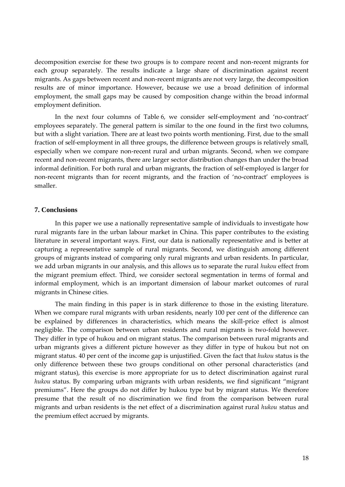decomposition exercise for these two groups is to compare recent and non-recent migrants for each group separately. The results indicate a large share of discrimination against recent migrants. As gaps between recent and non-recent migrants are not very large, the decomposition results are of minor importance. However, because we use a broad definition of informal employment, the small gaps may be caused by composition change within the broad informal employment definition.

In the next four columns of Table 6, we consider self-employment and 'no-contract' employees separately. The general pattern is similar to the one found in the first two columns, but with a slight variation. There are at least two points worth mentioning. First, due to the small fraction of self-employment in all three groups, the difference between groups is relatively small, especially when we compare non-recent rural and urban migrants. Second, when we compare recent and non-recent migrants, there are larger sector distribution changes than under the broad informal definition. For both rural and urban migrants, the fraction of self-employed is larger for non-recent migrants than for recent migrants, and the fraction of 'no-contract' employees is smaller.

#### **7. Conclusions**

In this paper we use a nationally representative sample of individuals to investigate how rural migrants fare in the urban labour market in China. This paper contributes to the existing literature in several important ways. First, our data is nationally representative and is better at capturing a representative sample of rural migrants. Second, we distinguish among different groups of migrants instead of comparing only rural migrants and urban residents. In particular, we add urban migrants in our analysis, and this allows us to separate the rural *hukou* effect from the migrant premium effect. Third, we consider sectoral segmentation in terms of formal and informal employment, which is an important dimension of labour market outcomes of rural migrants in Chinese cities.

The main finding in this paper is in stark difference to those in the existing literature. When we compare rural migrants with urban residents, nearly 100 per cent of the difference can be explained by differences in characteristics, which means the skill-price effect is almost negligible. The comparison between urban residents and rural migrants is two-fold however. They differ in type of hukou and on migrant status. The comparison between rural migrants and urban migrants gives a different picture however as they differ in type of hukou but not on migrant status. 40 per cent of the income gap is unjustified. Given the fact that *hukou* status is the only difference between these two groups conditional on other personal characteristics (and migrant status), this exercise is more appropriate for us to detect discrimination against rural *hukou* status. By comparing urban migrants with urban residents, we find significant 'migrant premiums'. Here the groups do not differ by hukou type but by migrant status. We therefore presume that the result of no discrimination we find from the comparison between rural migrants and urban residents is the net effect of a discrimination against rural *hukou* status and the premium effect accrued by migrants.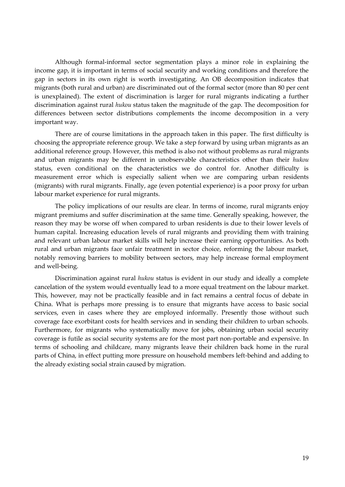Although formal-informal sector segmentation plays a minor role in explaining the income gap, it is important in terms of social security and working conditions and therefore the gap in sectors in its own right is worth investigating. An OB decomposition indicates that migrants (both rural and urban) are discriminated out of the formal sector (more than 80 per cent is unexplained). The extent of discrimination is larger for rural migrants indicating a further discrimination against rural *hukou* status taken the magnitude of the gap. The decomposition for differences between sector distributions complements the income decomposition in a very important way.

There are of course limitations in the approach taken in this paper. The first difficulty is choosing the appropriate reference group. We take a step forward by using urban migrants as an additional reference group. However, this method is also not without problems as rural migrants and urban migrants may be different in unobservable characteristics other than their *hukou*  status, even conditional on the characteristics we do control for. Another difficulty is measurement error which is especially salient when we are comparing urban residents (migrants) with rural migrants. Finally, age (even potential experience) is a poor proxy for urban labour market experience for rural migrants.

The policy implications of our results are clear. In terms of income, rural migrants enjoy migrant premiums and suffer discrimination at the same time. Generally speaking, however, the reason they may be worse off when compared to urban residents is due to their lower levels of human capital. Increasing education levels of rural migrants and providing them with training and relevant urban labour market skills will help increase their earning opportunities. As both rural and urban migrants face unfair treatment in sector choice, reforming the labour market, notably removing barriers to mobility between sectors, may help increase formal employment and well-being.

Discrimination against rural *hukou* status is evident in our study and ideally a complete cancelation of the system would eventually lead to a more equal treatment on the labour market. This, however, may not be practically feasible and in fact remains a central focus of debate in China. What is perhaps more pressing is to ensure that migrants have access to basic social services, even in cases where they are employed informally. Presently those without such coverage face exorbitant costs for health services and in sending their children to urban schools. Furthermore, for migrants who systematically move for jobs, obtaining urban social security coverage is futile as social security systems are for the most part non-portable and expensive. In terms of schooling and childcare, many migrants leave their children back home in the rural parts of China, in effect putting more pressure on household members left-behind and adding to the already existing social strain caused by migration.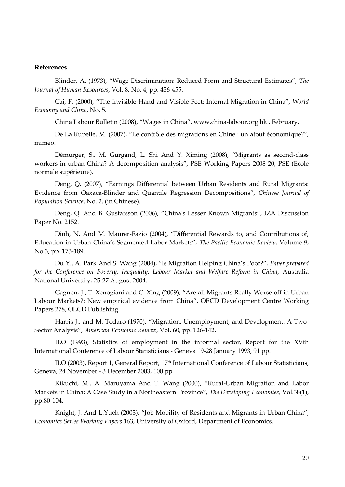#### **References**

Blinder, A. (1973), 'Wage Discrimination: Reduced Form and Structural Estimates', *The Journal of Human Resources*, Vol. 8, No. 4, pp. 436-455.

Cai, F. (2000), 'The Invisible Hand and Visible Feet: Internal Migration in China', *World Economy and China*, No. 5.

China Labour Bulletin (2008), 'Wages in China', [www.china-labour.org.hk](http://www.china-labour.org.hk/) , February.

De La Rupelle, M. (2007), 'Le contrôle des migrations en Chine : un atout économique?', mimeo.

Démurger, S., M. Gurgand, L. Shi And Y. Ximing (2008), 'Migrants as second-class workers in urban China? A decomposition analysis', PSE Working Papers 2008-20, PSE (Ecole normale supérieure).

Deng, Q. (2007), 'Earnings Differential between Urban Residents and Rural Migrants: Evidence from Oaxaca-Blinder and Quantile Regression Decompositions', *Chinese Journal of Population Science*, No. 2, (in Chinese).

Deng, Q. And B. Gustafsson (2006), 'China's Lesser Known Migrants', IZA Discussion Paper No. 2152.

Dinh, N. And M. Maurer-Fazio (2004), 'Differential Rewards to, and Contributions of, Education in Urban China's Segmented Labor Markets', *The Pacific Economic Review*, Volume 9, No.3, pp. 173-189.

Du Y., A. Park And S. Wang (2004), 'Is Migration Helping China's Poor?', *Paper prepared for the Conference on Poverty, Inequality, Labour Market and Welfare Reform in China*, Australia National University, 25-27 August 2004.

Gagnon, J., T. Xenogiani and C. Xing (2009), 'Are all Migrants Really Worse off in Urban Labour Markets?: New empirical evidence from China', OECD Development Centre Working Papers 278, OECD Publishing.

Harris J., and M. Todaro (1970), 'Migration, Unemployment, and Development: A Two-Sector Analysis', *American Economic Review,* Vol. 60, pp. 126-142.

ILO (1993), Statistics of employment in the informal sector*,* Report for the XVth International Conference of Labour Statisticians - Geneva 19-28 January 1993, 91 pp.

ILO (2003), Report 1, General Report, 17<sup>th</sup> International Conference of Labour Statisticians, Geneva, 24 November - 3 December 2003, 100 pp.

Kikuchi, M., A. Maruyama And T. Wang (2000), 'Rural-Urban Migration and Labor Markets in China: A Case Study in a Northeastern Province', *The Developing Economies,* Vol.38(1), pp.80-104.

Knight, J. And L.Yueh (2003), "Job Mobility of Residents and Migrants in Urban China", *[Economics Series Working Papers](http://ideas.repec.org/s/oxf/wpaper.html)* 163, University of Oxford, Department of Economics.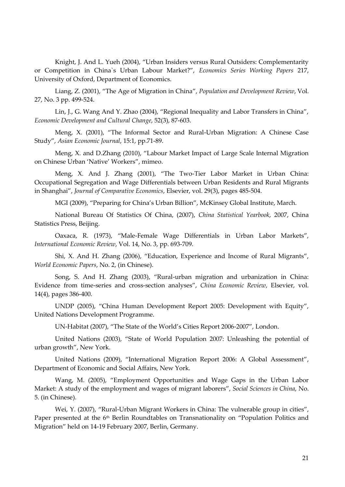Knight, J. And L. Yueh (2004), 'Urban Insiders versus Rural Outsiders: Complementarity or Competition in China`s Urban Labour Market?', *[Economics Series Working Papers](http://ideas.repec.org/s/oxf/wpaper.html)* 217, University of Oxford, Department of Economics.

Liang, Z. (2001), 'The Age of Migration in China', *Population and Development Review*, Vol. 27, No. 3 pp. 499-524.

Lin, J., G. Wang And Y. Zhao (2004), 'Regional Inequality and Labor Transfers in China', *Economic Development and Cultural Change*, 52(3), 87-603.

Meng, X. (2001), 'The Informal Sector and Rural-Urban Migration: A Chinese Case Study', *Asian Economic Journal*, 15:1, pp.71-89.

Meng, X. and D.Zhang (2010), 'Labour Market Impact of Large Scale Internal Migration on Chinese Urban 'Native' Workers', mimeo.

Meng, X. And J. Zhang (2001), 'The Two-Tier Labor Market in Urban China: Occupational Segregation and Wage Differentials between Urban Residents and Rural Migrants in Shanghai', *[Journal of Comparative Economics](http://ideas.repec.org/s/eee/jcecon.html)*, Elsevier, vol. 29(3), pages 485-504.

MGI (2009), 'Preparing for China's Urban Billion', McKinsey Global Institute, March.

National Bureau Of Statistics Of China, (2007), *China Statistical Yearbook*, 2007, China Statistics Press, Beijing.

Oaxaca, R. (1973), 'Male-Female Wage Differentials in Urban Labor Markets', *International Economic Review*, Vol. 14, No. 3, pp. 693-709.

Shi, X. And H. Zhang (2006), 'Education, Experience and Income of Rural Migrants', *World Economic Papers*, No. 2, (in Chinese).

Song, S. And H. Zhang (2003), 'Rural-urban migration and urbanization in China: Evidence from time-series and cross-section analyses', *China Economic Review*, Elsevier, vol. 14(4), pages 386-400.

UNDP (2005), 'China Human Development Report 2005: Development with Equity', United Nations Development Programme.

UN-Habitat (2007), 'The State of the World's Cities Report 2006-2007', London.

United Nations (2003), 'State of World Population 2007: Unleashing the potential of urban growth', New York.

United Nations (2009), 'International Migration Report 2006: A Global Assessment', Department of Economic and Social Affairs, New York.

Wang, M. (2005), 'Employment Opportunities and Wage Gaps in the Urban Labor Market: A study of the employment and wages of migrant laborers', *Social Sciences in China*, No. 5. (in Chinese).

Wei, Y. (2007), "Rural-Urban Migrant Workers in China: The vulnerable group in cities", Paper presented at the 6<sup>th</sup> Berlin Roundtables on Transnationality on "Population Politics and Migration' held on 14-19 February 2007, Berlin, Germany.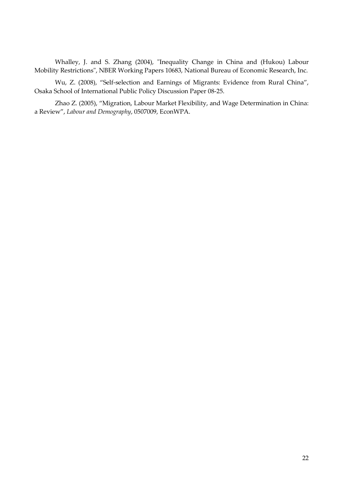Whalley, J. and S. Zhang (2004), "Inequality Change in China and (Hukou) Labour Mobility Restrictions", NBER Working Papers 10683, National Bureau of Economic Research, Inc.

Wu, Z. (2008), 'Self-selection and Earnings of Migrants: Evidence from Rural China', Osaka School of International Public Policy Discussion Paper 08-25.

Zhao Z. (2005), 'Migration, Labour Market Flexibility, and Wage Determination in China: a Review', *Labour and Demography*, 0507009, EconWPA.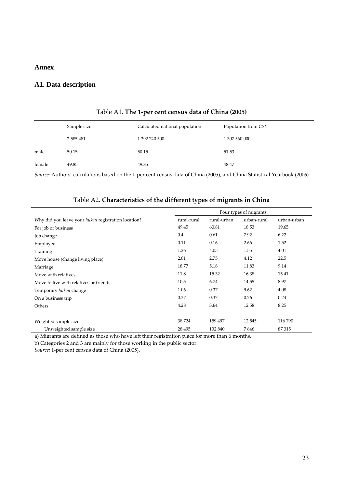#### **Annex**

#### **A1. Data description**

|        | Sample size   | Calculated national population | Population from CSY |
|--------|---------------|--------------------------------|---------------------|
|        | 2 5 8 5 4 8 1 | 1 292 740 500                  | 1 307 560 000       |
| male   | 50.15         | 50.15                          | 51.53               |
| female | 49.85         | 49.85                          | 48.47               |

#### Table A1. **The 1-per cent census data of China (2005)**

*Source:* Authors' calculations based on the 1-per cent census data of China (2005), and China Statistical Yearbook (2006).

|                                                            | Four types of migrants |             |             |             |  |  |  |
|------------------------------------------------------------|------------------------|-------------|-------------|-------------|--|--|--|
| Why did you leave your <i>hukou</i> registration location? | rural-rural            | rural-urban | urban-rural | urban-urban |  |  |  |
| For job or business                                        | 49.45                  | 60.81       | 18.53       | 19.65       |  |  |  |
| Job change                                                 | 0.4                    | 0.61        | 7.92        | 6.22        |  |  |  |
| Employed                                                   | 0.11                   | 0.16        | 2.66        | 1.52        |  |  |  |
| Training                                                   | 1.26                   | 4.05        | 1.55        | 4.01        |  |  |  |
| Move house (change living place)                           | 2.01                   | 2.75        | 4.12        | 22.5        |  |  |  |
| Marriage                                                   | 18.77                  | 5.18        | 11.83       | 9.14        |  |  |  |
| Move with relatives                                        | 11.8                   | 15.32       | 16.38       | 15.41       |  |  |  |
| Move to live with relatives or friends                     | 10.5                   | 6.74        | 14.55       | 8.97        |  |  |  |
| Temporary hukou change                                     | 1.06                   | 0.37        | 9.62        | 4.08        |  |  |  |
| On a business trip                                         | 0.37                   | 0.37        | 0.26        | 0.24        |  |  |  |
| Others                                                     | 4.28                   | 3.64        | 12.58       | 8.25        |  |  |  |
|                                                            |                        |             |             |             |  |  |  |
| Weighted sample size                                       | 38724                  | 159 497     | 12 5 45     | 116790      |  |  |  |
| Unweighted sample size                                     | 28 4 95                | 132 840     | 7646        | 87315       |  |  |  |

#### Table A2. **Characteristics of the different types of migrants in China**

a) Migrants are defined as those who have left their registration place for more than 6 months.

b) Categories 2 and 3 are mainly for those working in the public sector.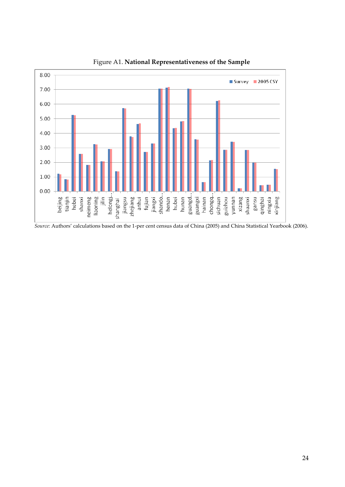

Figure A1. **National Representativeness of the Sample**

*Source:* Authors' calculations based on the 1-per cent census data of China (2005) and China Statistical Yearbook (2006).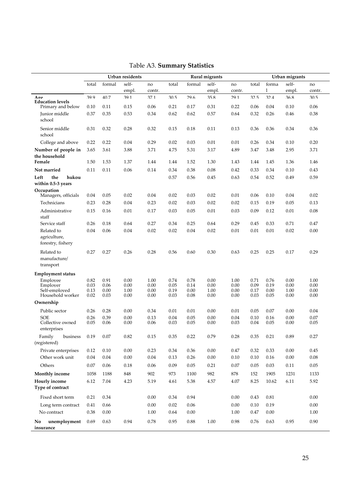|                                                     |              |              | Urban residents |              | <b>Rural migrants</b> |              |              |              |              |              | Urban migrants |              |
|-----------------------------------------------------|--------------|--------------|-----------------|--------------|-----------------------|--------------|--------------|--------------|--------------|--------------|----------------|--------------|
|                                                     | total        | formal       | self-           | no           | total                 | formal       | self-        | no           | total        | forma        | self-          | no           |
|                                                     |              |              | empl.           | contr.       |                       |              | empl.        | contr.       |              | 1            | empl.          | contr.       |
| Aoe<br><b>Education levels</b><br>Primary and below | 399<br>0.10  | 407<br>0.11  | 391<br>0.15     | 371<br>0.06  | 30.5<br>0.21          | 296<br>0.17  | 358<br>0.31  | 291<br>0.22  | 32.5<br>0.06 | 324<br>0.04  | 368<br>0.10    | 30.5<br>0.06 |
| Junior middle                                       | 0.37         | 0.35         | 0.53            | 0.34         | 0.62                  | 0.62         | 0.57         | 0.64         | 0.32         | 0.26         | 0.46           | 0.38         |
| school                                              |              |              |                 |              |                       |              |              |              |              |              |                |              |
| Senior middle<br>school                             | 0.31         | 0.32         | 0.28            | 0.32         | 0.15                  | 0.18         | 0.11         | 0.13         | 0.36         | 0.36         | 0.34           | 0.36         |
| College and above                                   | 0.22         | 0.22         | 0.04            | 0.29         | 0.02                  | 0.03         | 0.01         | 0.01         | 0.26         | 0.34         | 0.10           | 0.20         |
| Number of people in<br>the household<br>Female      | 3.65<br>1.50 | 3.61<br>1.53 | 3.88<br>1.37    | 3.71<br>1.44 | 4.75<br>1.44          | 5.31<br>1.52 | 3.17<br>1.30 | 4.89<br>1.43 | 3.47<br>1.44 | 3.48<br>1.45 | 2.95<br>1.36   | 3.71<br>1.46 |
| Not married                                         | 0.11         | 0.11         | 0.06            | 0.14         | 0.34                  | 0.38         | 0.08         | 0.42         | 0.33         | 0.34         | 0.10           | 0.43         |
| hukou<br>Left<br>the<br>within 0.5-3 years          |              |              |                 |              | 0.57                  | 0.56         | 0.45         | 0.63         | 0.54         | 0.52         | 0.49           | 0.59         |
| Occupation<br>Managers, officials                   | 0.04         | 0.05         | 0.02            | 0.04         | 0.02                  | 0.03         | 0.02         | 0.01         | 0.06         | 0.10         | 0.04           | 0.02         |
| Technicians                                         | 0.23         | 0.28         | 0.04            | 0.23         | 0.02                  | 0.03         | 0.02         | 0.02         | 0.15         | 0.19         | 0.05           | 0.13         |
| Administrative<br>staff                             | 0.15         | 0.16         | 0.01            | 0.17         | 0.03                  | 0.05         | 0.01         | 0.03         | 0.09         | 0.12         | 0.01           | 0.08         |
| Service staff                                       | 0.26         | 0.18         | 0.64            | 0.27         | 0.34                  | 0.25         | 0.64         | 0.29         | 0.45         | 0.33         | 0.71           | 0.47         |
| Related to<br>agriculture,<br>forestry, fishery     | 0.04         | 0.06         | 0.04            | 0.02         | 0.02                  | 0.04         | 0.02         | 0.01         | 0.01         | 0.01         | 0.02           | 0.00         |
| Related to<br>manufacture/<br>transport             | 0.27         | 0.27         | 0.26            | 0.28         | 0.56                  | 0.60         | 0.30         | 0.63         | 0.25         | 0.25         | 0.17           | 0.29         |
| <b>Employment status</b>                            |              |              |                 |              |                       |              |              |              |              |              |                |              |
| Emplovee                                            | 0.82         | 0.91         | 0.00            | 1.00         | 0.74                  | 0.78         | 0.00         | 1.00         | 0.71         | 0.76         | 0.00           | 1.00         |
| Employer<br>Self-employed                           | 0.03<br>0.13 | 0.06<br>0.00 | 0.00<br>1.00    | 0.00<br>0.00 | 0.05<br>0.19          | 0.14<br>0.00 | 0.00<br>1.00 | 0.00<br>0.00 | 0.09<br>0.17 | 0.19<br>0.00 | 0.00<br>1.00   | 0.00<br>0.00 |
| Household worker                                    | 0.02         | 0.03         | 0.00            | 0.00         | 0.03                  | 0.08         | 0.00         | 0.00         | 0.03         | 0.05         | 0.00           | 0.00         |
| Ownership                                           |              |              |                 |              |                       |              |              |              |              |              |                |              |
| Public sector                                       | 0.26         | 0.28         | 0.00            | 0.34         | 0.01                  | 0.01         | 0.00         | 0.01         | 0.05         | 0.07         | 0.00           | 0.04         |
| <b>SOE</b>                                          | 0.26         | 0.39         | 0.00            | 0.13         | 0.04                  | 0.05         | 0.00         | 0.04         | 0.10         | 0.16         | 0.00           | 0.07         |
| Collective owned<br>enterprises                     | 0.05         | 0.06         | 0.00            | 0.06         | 0.03                  | 0.05         | 0.00         | 0.03         | 0.04         | 0.05         | 0.00           | 0.05         |
| Family<br>business<br>(registered)                  | 0.19         | 0.07         | 0.82            | 0.15         | 0.35                  | 0.22         | 0.79         | 0.28         | 0.35         | 0.21         | 0.89           | 0.27         |
| Private enterprises                                 | 0.12         | 0.10         | $0.00\,$        | 0.23         | 0.34                  | 0.36         | $0.00\,$     | 0.47         | 0.32         | 0.33         | 0.00           | 0.45         |
| Other work unit                                     | $0.04\,$     | 0.04         | 0.00            | $0.04\,$     | 0.13                  | 0.26         | $0.00\,$     | 0.10         | 0.10         | 0.16         | 0.00           | 0.08         |
| Others                                              | 0.07         | 0.06         | 0.18            | 0.06         | 0.09                  | $0.05\,$     | 0.21         | $0.07\,$     | 0.05         | 0.03         | 0.11           | 0.05         |
| <b>Monthly income</b>                               | 1058         | 1188         | 848             | 902          | 973                   | 1100         | 982          | 878          | 152          | 1905         | 1231           | 1133         |
| Hourly income<br>Type of contract                   | 6.12         | 7.04         | 4.23            | 5.19         | 4.61                  | 5.38         | 4.57         | $4.07\,$     | 8.25         | 10.62        | 6.11           | 5.92         |
| Fixed short term                                    | 0.21         | 0.34         |                 | 0.00         | 0.34                  | 0.94         |              | 0.00         | 0.43         | 0.81         |                | 0.00         |
| Long term contract                                  | 0.41         | 0.66         |                 | $0.00\,$     | 0.02                  | 0.06         |              | $0.00\,$     | 0.10         | 0.19         |                | $0.00\,$     |
| No contract                                         | 0.38         | $0.00\,$     |                 | 1.00         | 0.64                  | $0.00\,$     |              | 1.00         | 0.47         | $0.00\,$     |                | 1.00         |
| unemployment<br>No                                  | 0.69         | 0.63         | 0.94            | 0.78         | 0.95                  | 0.88         | 1.00         | 0.98         | 0.76         | 0.63         | 0.95           | 0.90         |
| insurance                                           |              |              |                 |              |                       |              |              |              |              |              |                |              |

# Table A3. **Summary Statistics**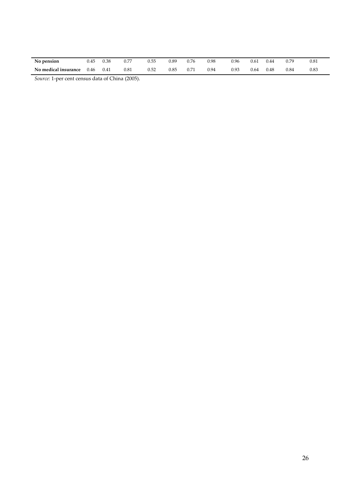| No pension           | 0.45 | 0.38 | 0.77 | 0.55 | 0.89 | 0.76 | 0.98 | 0.96 | 0.61 | 0.44      | 0.79 | 0.81 |  |
|----------------------|------|------|------|------|------|------|------|------|------|-----------|------|------|--|
| No medical insurance | 0.46 | 0.41 | 0.81 | 0.52 | 0.85 | 0.71 | 0.94 | 0.93 | 0.64 | $_{0.48}$ | 0.84 | 0.83 |  |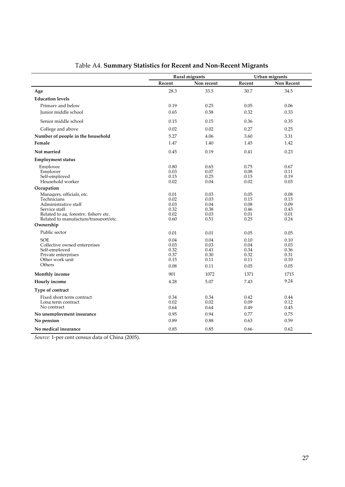|                                          |              | Rural migrants |              | Urban migrants |
|------------------------------------------|--------------|----------------|--------------|----------------|
|                                          | Recent       | Non recent     | Recent       | Non Recent     |
| Age                                      | 28.3         | 33.5           | 30.7         | 34.5           |
| <b>Education levels</b>                  |              |                |              |                |
| Primary and below                        | 0.19         | 0.25           | 0.05         | 0.06           |
| Junior middle school                     | 0.65         | 0.58           | 0.32         | 0.33           |
| Senior middle school                     | 0.15         | 0.15           | 0.36         | 0.35           |
| College and above                        | 0.02         | 0.02           | 0.27         | 0.25           |
| Number of people in the household        | 5.27         | 4.06           | 3.60         | 3.31           |
| Female                                   | 1.47         | 1.40           | 1.45         | 1.42           |
| Not married                              | 0.45         | 0.19           | 0.41         | 0.23           |
| <b>Employment status</b>                 |              |                |              |                |
| Employee                                 | 0.80         | 0.65           | 0.75         | 0.67           |
| Employer                                 | 0.03         | 0.07           | 0.08         | 0.11           |
| Self-emploved                            | 0.15         | 0.25           | 0.15         | 0.19           |
| Household worker                         | 0.02         | 0.04           | 0.02         | 0.03           |
| Occupation                               |              |                |              |                |
| Managers, officials, etc.<br>Technicians | 0.01<br>0.02 | 0.03<br>0.03   | 0.05<br>0.15 | 0.08<br>0.15   |
| Administrative staff                     | 0.03         | 0.04           | 0.08         | 0.09           |
| Service staff                            | 0.32         | 0.38           | 0.46         | 0.43           |
| Related to ag, forestry, fishery etc.    | 0.02         | 0.03           | 0.01         | 0.01           |
| Related to manufacture/transport/etc.    | 0.60         | 0.51           | 0.25         | 0.24           |
| Ownership                                |              |                |              |                |
| Public sector                            | 0.01         | 0.01           | 0.05         | 0.05           |
| <b>SOE</b>                               | 0.04         | 0.04           | 0.10         | 0.10           |
| Collective owned enterprises             | 0.03         | 0.03           | 0.04         | 0.03           |
| Self-emploved                            | 0.32         | 0.41           | 0.34         | 0.36           |
| Private enterprises<br>Other work unit   | 0.37<br>0.15 | 0.30<br>0.11   | 0.32<br>0.11 | 0.31<br>0.10   |
| Others                                   | 0.08         | 0.11           | 0.05         | 0.05           |
|                                          | 901          | 1072           | 1371         | 1715           |
| <b>Monthly income</b>                    |              |                |              | 9.24           |
| Hourly income                            | 4.28         | 5.07           | 7.43         |                |
| Type of contract                         |              |                |              |                |
| Fixed short term contract                | 0.34         | 0.34           | 0.42         | 0.44           |
| Long term contract                       | 0.02         | 0.02           | 0.09         | 0.12           |
| No contract                              | 0.64         | 0.64           | 0.49         | 0.45           |
| No unemployment insurance                | 0.95         | 0.94           | 0.77         | 0.75           |
| No pension                               | 0.89         | 0.88           | 0.63         | 0.59           |
| No medical insurance                     | 0.85         | 0.85           | 0.66         | 0.62           |

# Table A4. **Summary Statistics for Recent and Non-Recent Migrants**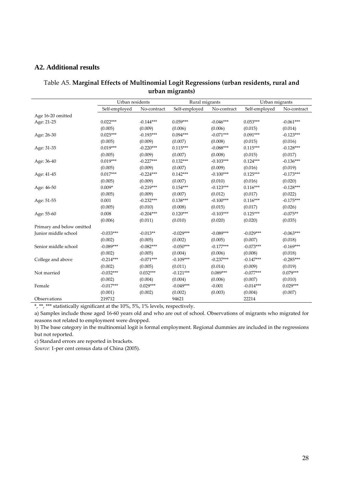### **A2. Additional results**

| Table A5. Marginal Effects of Multinomial Logit Regressions (urban residents, rural and |  |
|-----------------------------------------------------------------------------------------|--|
| urban migrants)                                                                         |  |

|                           | Urban residents |             | Rural migrants |             | Urban migrants |             |
|---------------------------|-----------------|-------------|----------------|-------------|----------------|-------------|
|                           | Self-employed   | No-contract | Self-employed  | No-contract | Self-employed  | No-contract |
| Age 16-20 omitted         |                 |             |                |             |                |             |
| Age: 21-25                | $0.022***$      | $-0.144***$ | $0.059***$     | $-0.046***$ | $0.053***$     | $-0.061***$ |
|                           | (0.005)         | (0.009)     | (0.006)        | (0.006)     | (0.015)        | (0.014)     |
| Age: 26-30                | $0.025***$      | $-0.193***$ | $0.094***$     | $-0.071***$ | $0.091***$     | $-0.123***$ |
|                           | (0.005)         | (0.009)     | (0.007)        | (0.008)     | (0.015)        | (0.016)     |
| Age: 31-35                | $0.019***$      | $-0.220***$ | $0.115***$     | $-0.088***$ | $0.115***$     | $-0.128***$ |
|                           | (0.005)         | (0.009)     | (0.007)        | (0.008)     | (0.015)        | (0.017)     |
| Age: 36-40                | $0.019***$      | $-0.227***$ | $0.132***$     | $-0.103***$ | $0.124***$     | $-0.136***$ |
|                           | (0.005)         | (0.009)     | (0.007)        | (0.009)     | (0.016)        | (0.019)     |
| Age: 41-45                | $0.017***$      | $-0.224***$ | $0.142***$     | $-0.100***$ | $0.125***$     | $-0.173***$ |
|                           | (0.005)         | (0.009)     | (0.007)        | (0.010)     | (0.016)        | (0.020)     |
| Age: 46-50                | $0.009*$        | $-0.219***$ | $0.154***$     | $-0.123***$ | $0.116***$     | $-0.128***$ |
|                           | (0.005)         | (0.009)     | (0.007)        | (0.012)     | (0.017)        | (0.022)     |
| Age: 51-55                | 0.001           | $-0.232***$ | $0.138***$     | $-0.100***$ | $0.116***$     | $-0.175***$ |
|                           | (0.005)         | (0.010)     | (0.008)        | (0.015)     | (0.017)        | (0.026)     |
| Age: 55-60                | 0.008           | $-0.204***$ | $0.120***$     | $-0.103***$ | $0.125***$     | $-0.075**$  |
|                           | (0.006)         | (0.011)     | (0.010)        | (0.020)     | (0.020)        | (0.035)     |
| Primary and below omitted |                 |             |                |             |                |             |
| Junior middle school      | $-0.033***$     | $-0.013**$  | $-0.029***$    | $-0.089***$ | $-0.029***$    | $-0.063***$ |
|                           | (0.002)         | (0.005)     | (0.002)        | (0.005)     | (0.007)        | (0.018)     |
| Senior middle school      | $-0.089***$     | $-0.082***$ | $-0.050***$    | $-0.177***$ | $-0.073***$    | $-0.169***$ |
|                           | (0.002)         | (0.005)     | (0.004)        | (0.006)     | (0.008)        | (0.018)     |
| College and above         | $-0.214***$     | $-0.071***$ | $-0.109***$    | $-0.237***$ | $-0.147***$    | $-0.285***$ |
|                           | (0.002)         | (0.005)     | (0.011)        | (0.014)     | (0.009)        | (0.019)     |
| Not married               | $-0.032***$     | $0.032***$  | $-0.121***$    | $0.089***$  | $-0.077***$    | $0.079***$  |
|                           | (0.002)         | (0.004)     | (0.004)        | (0.006)     | (0.007)        | (0.010)     |
| Female                    | $-0.017***$     | $0.029***$  | $-0.049***$    | $-0.001$    | $-0.014***$    | $0.029***$  |
|                           | (0.001)         | (0.002)     | (0.002)        | (0.003)     | (0.004)        | (0.007)     |
| Observations              | 219712          |             | 94621          |             | 22214          |             |

\*, \*\*, \*\*\* statistically significant at the 10%, 5%, 1% levels, respectively.

a) Samples include those aged 16-60 years old and who are out of school. Observations of migrants who migrated for reasons not related to employment were dropped.

b) The base category in the multinomial logit is formal employment. Regional dummies are included in the regressions but not reported.

c) Standard errors are reported in brackets.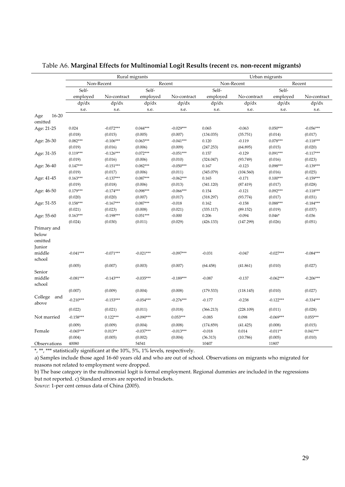|                         | Rural migrants       |             |             | Urban migrants       |           |             |             |             |
|-------------------------|----------------------|-------------|-------------|----------------------|-----------|-------------|-------------|-------------|
|                         | Non-Recent<br>Recent |             |             | Non-Recent<br>Recent |           |             |             |             |
|                         | Self-                |             | Self-       |                      | Self-     |             |             |             |
|                         | employed             | No-contract | employed    | No-contract          | employed  | No-contract | employed    | No-contract |
|                         | dp/dx                | dp/dx       | dp/dx       | dp/dx                | dp/dx     | dp/dx       | dp/dx       | dp/dx       |
|                         | s.e.                 | s.e.        | s.e.        | s.e.                 | s.e.      | s.e.        | s.e.        | s.e.        |
| $16 - 20$<br>Age        |                      |             |             |                      |           |             |             |             |
| omitted                 |                      |             |             |                      |           |             |             |             |
| Age: 21-25              | 0.024                | $-0.072***$ | $0.044***$  | $-0.029***$          | 0.065     | $-0.063$    | $0.050***$  | $-0.056***$ |
|                         | (0.018)              | (0.015)     | (0.005)     | (0.007)              | (134.035) | (35.751)    | (0.014)     | (0.017)     |
| Age: 26-30              | $0.082***$           | $-0.106***$ | $0.063***$  | $-0.041***$          | 0.120     | $-0.119$    | $0.078***$  | $-0.118***$ |
|                         | (0.019)              | (0.016)     | (0.006)     | (0.009)              | (247.253) | (64.895)    | (0.015)     | (0.020)     |
| Age: 31-35              | $0.119***$           | $-0.126***$ | $0.072***$  | $-0.051***$          | 0.157     | $-0.129$    | $0.091***$  | $-0.117***$ |
|                         | (0.019)              | (0.016)     | (0.006)     | (0.010)              | (324.047) | (93.749)    | (0.016)     | (0.023)     |
| Age: 36-40              | $0.147***$           | $-0.151***$ | $0.082***$  | $-0.050***$          | 0.167     | $-0.123$    | $0.098***$  | $-0.139***$ |
|                         | (0.019)              | (0.017)     | (0.006)     | (0.011)              | (345.079) | (104.560)   | (0.016)     | (0.025)     |
| Age: 41-45              | $0.163***$           | $-0.137***$ | $0.087***$  | $-0.062***$          | 0.165     | $-0.171$    | $0.100***$  | $-0.159***$ |
|                         | (0.019)              | (0.018)     | (0.006)     | (0.013)              | (341.120) | (87.419)    | (0.017)     | (0.028)     |
| Age: 46-50              | $0.179***$           | $-0.174***$ | $0.098***$  | $-0.066***$          | 0.154     | $-0.121$    | $0.092***$  | $-0.118***$ |
|                         | (0.020)              | (0.020)     | (0.007)     | (0.017)              | (318.297) | (93.774)    | (0.017)     | (0.031)     |
| Age: 51-55              | $0.158***$           | $-0.167***$ | $0.087***$  | $-0.018$             | 0.162     | $-0.158$    | $0.088***$  | $-0.184***$ |
|                         | (0.021)              | (0.023)     | (0.008)     | (0.021)              | (335.117) | (89.152)    | (0.019)     | (0.037)     |
| Age: 55-60              | $0.163***$           | $-0.198***$ | $0.051***$  | $-0.000$             | 0.206     | $-0.094$    | $0.046*$    | $-0.036$    |
|                         | (0.024)              | (0.030)     | (0.011)     | (0.029)              | (426.133) | (147.299)   | (0.026)     | (0.051)     |
| Primary and             |                      |             |             |                      |           |             |             |             |
| below                   |                      |             |             |                      |           |             |             |             |
| omitted                 |                      |             |             |                      |           |             |             |             |
| Junior                  |                      |             |             |                      |           |             |             |             |
| middle                  | $-0.041***$          | $-0.071***$ | $-0.021***$ | $-0.097***$          | $-0.031$  | $-0.047$    | $-0.027***$ | $-0.084***$ |
| school                  |                      |             |             |                      |           |             |             |             |
|                         | (0.005)              | (0.007)     | (0.003)     | (0.007)              | (64.458)  | (41.861)    | (0.010)     | (0.027)     |
| Senior                  |                      |             |             |                      |           |             |             |             |
| middle                  | $-0.081***$          | $-0.143***$ | $-0.035***$ | $-0.189***$          | $-0.087$  | $-0.137$    | $-0.062***$ | $-0.206***$ |
| school                  |                      |             |             |                      |           |             |             |             |
|                         | (0.007)              | (0.009)     | (0.004)     | (0.008)              | (179.533) | (118.145)   | (0.010)     | (0.027)     |
| College<br>and<br>above | $-0.210***$          | $-0.153***$ | $-0.054***$ | $-0.276***$          | $-0.177$  | $-0.238$    | $-0.122***$ | $-0.334***$ |
|                         | (0.022)              | (0.021)     | (0.011)     | (0.018)              | (366.213) | (228.109)   | (0.011)     | (0.028)     |
| Not married             | $-0.158***$          | $0.122***$  | $-0.090***$ | $0.053***$           | $-0.085$  | 0.098       | $-0.069***$ | $0.055***$  |
|                         | (0.009)              | (0.009)     | (0.004)     | (0.008)              | (174.859) | (41.425)    | (0.008)     | (0.015)     |
| Female                  | $-0.065***$          | $0.013**$   | $-0.037***$ | $-0.013***$          | $-0.018$  | 0.014       | $-0.011**$  | $0.041***$  |
|                         | (0.004)              | (0.005)     | (0.002)     | (0.004)              | (36.313)  | (10.786)    | (0.005)     | (0.010)     |
| Observations            | 40080                |             | 54541       |                      | 10407     |             | 11807       |             |

### Table A6. **Marginal Effects for Multinomial Logit Results (recent** *vs.* **non-recent migrants)**

\*, \*\*, \*\*\* statistically significant at the 10%, 5%, 1% levels, respectively.

a) Samples include those aged 16-60 years old and who are out of school. Observations on migrants who migrated for reasons not related to employment were dropped.

b) The base category in the multinomial logit is formal employment. Regional dummies are included in the regressions but not reported. c) Standard errors are reported in brackets.